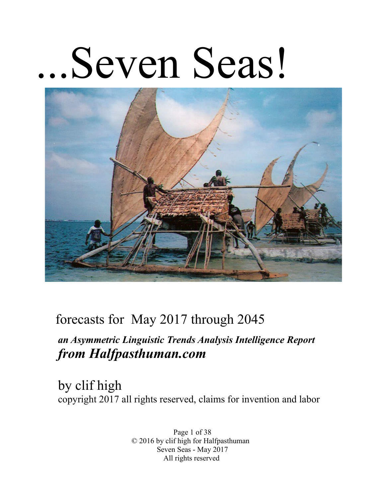# Seven Seas!



# forecasts for May 2017 through 2045

# *an Asymmetric Linguistic Trends Analysis Intelligence Report from Halfpasthuman.com*

by clif high copyright 2017 all rights reserved, claims for invention and labor

> Page 1 of 38 © 2016 by clif high for Halfpasthuman Seven Seas - May 2017 All rights reserved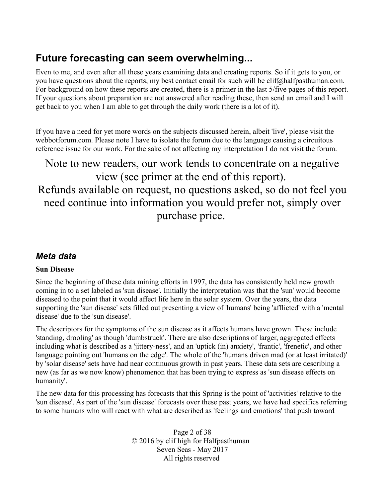# **Future forecasting can seem overwhelming...**

Even to me, and even after all these years examining data and creating reports. So if it gets to you, or you have questions about the reports, my best contact email for such will be clif@halfpasthuman.com. For background on how these reports are created, there is a primer in the last 5/five pages of this report. If your questions about preparation are not answered after reading these, then send an email and I will get back to you when I am able to get through the daily work (there is a lot of it).

If you have a need for yet more words on the subjects discussed herein, albeit 'live', please visit the webbotforum.com. Please note I have to isolate the forum due to the language causing a circuitous reference issue for our work. For the sake of not affecting my interpretation I do not visit the forum.

Note to new readers, our work tends to concentrate on a negative view (see primer at the end of this report). Refunds available on request, no questions asked, so do not feel you need continue into information you would prefer not, simply over purchase price.

#### *Meta data*

#### **Sun Disease**

Since the beginning of these data mining efforts in 1997, the data has consistently held new growth coming in to a set labeled as 'sun disease'. Initially the interpretation was that the 'sun' would become diseased to the point that it would affect life here in the solar system. Over the years, the data supporting the 'sun disease' sets filled out presenting a view of 'humans' being 'afflicted' with a 'mental disease' due to the 'sun disease'.

The descriptors for the symptoms of the sun disease as it affects humans have grown. These include 'standing, drooling' as though 'dumbstruck'. There are also descriptions of larger, aggregated effects including what is described as a 'jittery-ness', and an 'uptick (in) anxiety', 'frantic', 'frenetic', and other language pointing out 'humans on the edge'. The whole of the 'humans driven mad (or at least irritated)' by 'solar disease' sets have had near continuous growth in past years. These data sets are describing a new (as far as we now know) phenomenon that has been trying to express as 'sun disease effects on humanity'.

The new data for this processing has forecasts that this Spring is the point of 'activities' relative to the 'sun disease'. As part of the 'sun disease' forecasts over these past years, we have had specifics referring to some humans who will react with what are described as 'feelings and emotions' that push toward

> Page 2 of 38 © 2016 by clif high for Halfpasthuman Seven Seas - May 2017 All rights reserved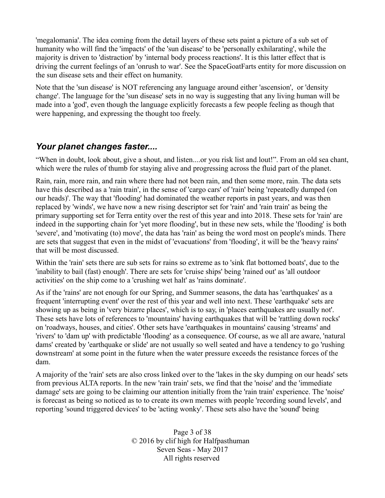'megalomania'. The idea coming from the detail layers of these sets paint a picture of a sub set of humanity who will find the 'impacts' of the 'sun disease' to be 'personally exhilarating', while the majority is driven to 'distraction' by 'internal body process reactions'. It is this latter effect that is driving the current feelings of an 'onrush to war'. See the SpaceGoatFarts entity for more discussion on the sun disease sets and their effect on humanity.

Note that the 'sun disease' is NOT referencing any language around either 'ascension', or 'density change'. The language for the 'sun disease' sets in no way is suggesting that any living human will be made into a 'god', even though the language explicitly forecasts a few people feeling as though that were happening, and expressing the thought too freely.

#### *Your planet changes faster....*

"When in doubt, look about, give a shout, and listen....or you risk list and lout!". From an old sea chant, which were the rules of thumb for staying alive and progressing across the fluid part of the planet.

Rain, rain, more rain, and rain where there had not been rain, and then some more, rain. The data sets have this described as a 'rain train', in the sense of 'cargo cars' of 'rain' being 'repeatedly dumped (on our heads)'. The way that 'flooding' had dominated the weather reports in past years, and was then replaced by 'winds', we have now a new rising descriptor set for 'rain' and 'rain train' as being the primary supporting set for Terra entity over the rest of this year and into 2018. These sets for 'rain' are indeed in the supporting chain for 'yet more flooding', but in these new sets, while the 'flooding' is both 'severe', and 'motivating (to) move', the data has 'rain' as being the word most on people's minds. There are sets that suggest that even in the midst of 'evacuations' from 'flooding', it will be the 'heavy rains' that will be most discussed.

Within the 'rain' sets there are sub sets for rains so extreme as to 'sink flat bottomed boats', due to the 'inability to bail (fast) enough'. There are sets for 'cruise ships' being 'rained out' as 'all outdoor activities' on the ship come to a 'crushing wet halt' as 'rains dominate'.

As if the 'rains' are not enough for our Spring, and Summer seasons, the data has 'earthquakes' as a frequent 'interrupting event' over the rest of this year and well into next. These 'earthquake' sets are showing up as being in 'very bizarre places', which is to say, in 'places earthquakes are usually not'. These sets have lots of references to 'mountains' having earthquakes that will be 'rattling down rocks' on 'roadways, houses, and cities'. Other sets have 'earthquakes in mountains' causing 'streams' and 'rivers' to 'dam up' with predictable 'flooding' as a consequence. Of course, as we all are aware, 'natural dams' created by 'earthquake or slide' are not usually so well seated and have a tendency to go 'rushing downstream' at some point in the future when the water pressure exceeds the resistance forces of the dam.

A majority of the 'rain' sets are also cross linked over to the 'lakes in the sky dumping on our heads' sets from previous ALTA reports. In the new 'rain train' sets, we find that the 'noise' and the 'immediate damage' sets are going to be claiming our attention initially from the 'rain train' experience. The 'noise' is forecast as being so noticed as to to create its own memes with people 'recording sound levels', and reporting 'sound triggered devices' to be 'acting wonky'. These sets also have the 'sound' being

> Page 3 of 38 © 2016 by clif high for Halfpasthuman Seven Seas - May 2017 All rights reserved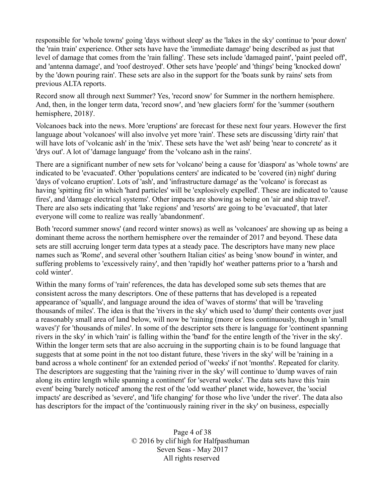responsible for 'whole towns' going 'days without sleep' as the 'lakes in the sky' continue to 'pour down' the 'rain train' experience. Other sets have have the 'immediate damage' being described as just that level of damage that comes from the 'rain falling'. These sets include 'damaged paint', 'paint peeled off', and 'antenna damage', and 'roof destroyed'. Other sets have 'people' and 'things' being 'knocked down' by the 'down pouring rain'. These sets are also in the support for the 'boats sunk by rains' sets from previous ALTA reports.

Record snow all through next Summer? Yes, 'record snow' for Summer in the northern hemisphere. And, then, in the longer term data, 'record snow', and 'new glaciers form' for the 'summer (southern hemisphere, 2018)'.

Volcanoes back into the news. More 'eruptions' are forecast for these next four years. However the first language about 'volcanoes' will also involve yet more 'rain'. These sets are discussing 'dirty rain' that will have lots of 'volcanic ash' in the 'mix'. These sets have the 'wet ash' being 'near to concrete' as it 'drys out'. A lot of 'damage language' from the 'volcano ash in the rains'.

There are a significant number of new sets for 'volcano' being a cause for 'diaspora' as 'whole towns' are indicated to be 'evacuated'. Other 'populations centers' are indicated to be 'covered (in) night' during 'days of volcano eruption'. Lots of 'ash', and 'infrastructure damage' as the 'volcano' is forecast as having 'spitting fits' in which 'hard particles' will be 'explosively expelled'. These are indicated to 'cause fires', and 'damage electrical systems'. Other impacts are showing as being on 'air and ship travel'. There are also sets indicating that 'lake regions' and 'resorts' are going to be 'evacuated', that later everyone will come to realize was really 'abandonment'.

Both 'record summer snows' (and record winter snows) as well as 'volcanoes' are showing up as being a dominant theme across the northern hemisphere over the remainder of 2017 and beyond. These data sets are still accruing longer term data types at a steady pace. The descriptors have many new place names such as 'Rome', and several other 'southern Italian cities' as being 'snow bound' in winter, and suffering problems to 'excessively rainy', and then 'rapidly hot' weather patterns prior to a 'harsh and cold winter'.

Within the many forms of 'rain' references, the data has developed some sub sets themes that are consistent across the many descriptors. One of these patterns that has developed is a repeated appearance of 'squalls', and language around the idea of 'waves of storms' that will be 'traveling thousands of miles'. The idea is that the 'rivers in the sky' which used to 'dump' their contents over just a reasonably small area of land below, will now be 'raining (more or less continuously, though in 'small waves')' for 'thousands of miles'. In some of the descriptor sets there is language for 'continent spanning rivers in the sky' in which 'rain' is falling within the 'band' for the entire length of the 'river in the sky'. Within the longer term sets that are also accruing in the supporting chain is to be found language that suggests that at some point in the not too distant future, these 'rivers in the sky' will be 'raining in a band across a whole continent' for an extended period of 'weeks' if not 'months'. Repeated for clarity. The descriptors are suggesting that the 'raining river in the sky' will continue to 'dump waves of rain along its entire length while spanning a continent' for 'several weeks'. The data sets have this 'rain event' being 'barely noticed' among the rest of the 'odd weather' planet wide, however, the 'social impacts' are described as 'severe', and 'life changing' for those who live 'under the river'. The data also has descriptors for the impact of the 'continuously raining river in the sky' on business, especially

> Page 4 of 38 © 2016 by clif high for Halfpasthuman Seven Seas - May 2017 All rights reserved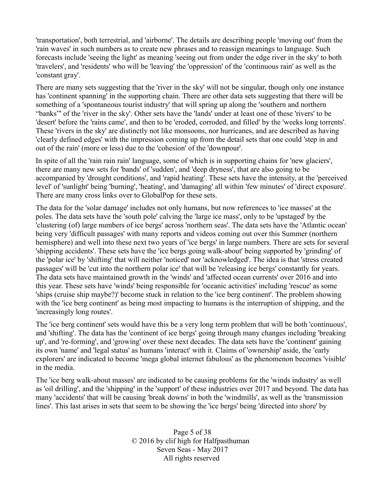'transportation', both terrestrial, and 'airborne'. The details are describing people 'moving out' from the 'rain waves' in such numbers as to create new phrases and to reassign meanings to language. Such forecasts include 'seeing the light' as meaning 'seeing out from under the edge river in the sky' to both 'travelers', and 'residents' who will be 'leaving' the 'oppression' of the 'continuous rain' as well as the 'constant gray'.

There are many sets suggesting that the 'river in the sky' will not be singular, though only one instance has 'continent spanning' in the supporting chain. There are other data sets suggesting that there will be something of a 'spontaneous tourist industry' that will spring up along the 'southern and northern "banks"' of the 'river in the sky'. Other sets have the 'lands' under at least one of these 'rivers' to be 'desert' before the 'rains came', and then to be 'eroded, corroded, and filled' by the 'weeks long torrents'. These 'rivers in the sky' are distinctly not like monsoons, nor hurricanes, and are described as having 'clearly defined edges' with the impression coming up from the detail sets that one could 'step in and out of the rain' (more or less) due to the 'cohesion' of the 'downpour'.

In spite of all the 'rain rain rain' language, some of which is in supporting chains for 'new glaciers', there are many new sets for 'bands' of 'sudden', and 'deep dryness', that are also going to be accompanied by 'drought conditions', and 'rapid heating'. These sets have the intensity, at the 'perceived level' of 'sunlight' being 'burning', 'heating', and 'damaging' all within 'few minutes' of 'direct exposure'. There are many cross links over to GlobalPop for these sets.

The data for the 'solar damage' includes not only humans, but now references to 'ice masses' at the poles. The data sets have the 'south pole' calving the 'large ice mass', only to be 'upstaged' by the 'clustering (of) large numbers of ice bergs' across 'northern seas'. The data sets have the 'Atlantic ocean' being very 'difficult passages' with many reports and videos coming out over this Summer (northern hemisphere) and well into these next two years of 'ice bergs' in large numbers. There are sets for several 'shipping accidents'. These sets have the 'ice bergs going walk-about' being supported by 'grinding' of the 'polar ice' by 'shifting' that will neither 'noticed' nor 'acknowledged'. The idea is that 'stress created passages' will be 'cut into the northern polar ice' that will be 'releasing ice bergs' constantly for years. The data sets have maintained growth in the 'winds' and 'affected ocean currents' over 2016 and into this year. These sets have 'winds' being responsible for 'oceanic activities' including 'rescue' as some 'ships (cruise ship maybe?)' become stuck in relation to the 'ice berg continent'. The problem showing with the 'ice berg continent' as being most impacting to humans is the interruption of shipping, and the 'increasingly long routes'.

The 'ice berg continent' sets would have this be a very long term problem that will be both 'continuous', and 'shifting'. The data has the 'continent of ice bergs' going through many changes including 'breaking up', and 're-forming', and 'growing' over these next decades. The data sets have the 'continent' gaining its own 'name' and 'legal status' as humans 'interact' with it. Claims of 'ownership' aside, the 'early explorers' are indicated to become 'mega global internet fabulous' as the phenomenon becomes 'visible' in the media.

The 'ice berg walk-about masses' are indicated to be causing problems for the 'winds industry' as well as 'oil drilling', and the 'shipping' in the 'support' of these industries over 2017 and beyond. The data has many 'accidents' that will be causing 'break downs' in both the 'windmills', as well as the 'transmission lines'. This last arises in sets that seem to be showing the 'ice bergs' being 'directed into shore' by

> Page 5 of 38 © 2016 by clif high for Halfpasthuman Seven Seas - May 2017 All rights reserved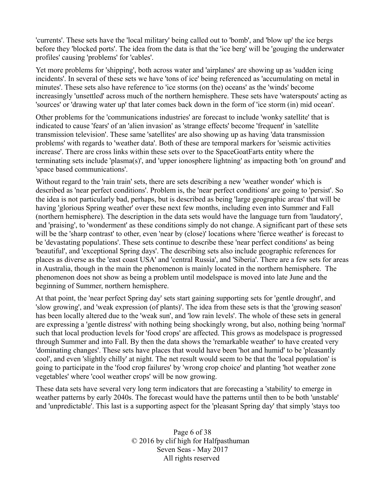'currents'. These sets have the 'local military' being called out to 'bomb', and 'blow up' the ice bergs before they 'blocked ports'. The idea from the data is that the 'ice berg' will be 'gouging the underwater profiles' causing 'problems' for 'cables'.

Yet more problems for 'shipping', both across water and 'airplanes' are showing up as 'sudden icing incidents'. In several of these sets we have 'tons of ice' being referenced as 'accumulating on metal in minutes'. These sets also have reference to 'ice storms (on the) oceans' as the 'winds' become increasingly 'unsettled' across much of the northern hemisphere. These sets have 'waterspouts' acting as 'sources' or 'drawing water up' that later comes back down in the form of 'ice storm (in) mid ocean'.

Other problems for the 'communications industries' are forecast to include 'wonky satellite' that is indicated to cause 'fears' of an 'alien invasion' as 'strange effects' become 'frequent' in 'satellite transmission television'. These same 'satellites' are also showing up as having 'data transmission problems' with regards to 'weather data'. Both of these are temporal markers for 'seismic activities increase'. There are cross links within these sets over to the SpaceGoatFarts entity where the terminating sets include 'plasma(s)', and 'upper ionosphere lightning' as impacting both 'on ground' and 'space based communications'.

Without regard to the 'rain train' sets, there are sets describing a new 'weather wonder' which is described as 'near perfect conditions'. Problem is, the 'near perfect conditions' are going to 'persist'. So the idea is not particularly bad, perhaps, but is described as being 'large geographic areas' that will be having 'glorious Spring weather' over these next few months, including even into Summer and Fall (northern hemisphere). The description in the data sets would have the language turn from 'laudatory', and 'praising', to 'wonderment' as these conditions simply do not change. A significant part of these sets will be the 'sharp contrast' to other, even 'near by (close)' locations where 'fierce weather' is forecast to be 'devastating populations'. These sets continue to describe these 'near perfect conditions' as being 'beautiful', and 'exceptional Spring days'. The describing sets also include geographic references for places as diverse as the 'east coast USA' and 'central Russia', and 'Siberia'. There are a few sets for areas in Australia, though in the main the phenomenon is mainly located in the northern hemisphere. The phenomenon does not show as being a problem until modelspace is moved into late June and the beginning of Summer, northern hemisphere.

At that point, the 'near perfect Spring day' sets start gaining supporting sets for 'gentle drought', and 'slow growing', and 'weak expression (of plants)'. The idea from these sets is that the 'growing season' has been locally altered due to the 'weak sun', and 'low rain levels'. The whole of these sets in general are expressing a 'gentle distress' with nothing being shockingly wrong, but also, nothing being 'normal' such that local production levels for 'food crops' are affected. This grows as modelspace is progressed through Summer and into Fall. By then the data shows the 'remarkable weather' to have created very 'dominating changes'. These sets have places that would have been 'hot and humid' to be 'pleasantly cool', and even 'slightly chilly' at night. The net result would seem to be that the 'local population' is going to participate in the 'food crop failures' by 'wrong crop choice' and planting 'hot weather zone vegetables' where 'cool weather crops' will be now growing.

These data sets have several very long term indicators that are forecasting a 'stability' to emerge in weather patterns by early 2040s. The forecast would have the patterns until then to be both 'unstable' and 'unpredictable'. This last is a supporting aspect for the 'pleasant Spring day' that simply 'stays too

> Page 6 of 38 © 2016 by clif high for Halfpasthuman Seven Seas - May 2017 All rights reserved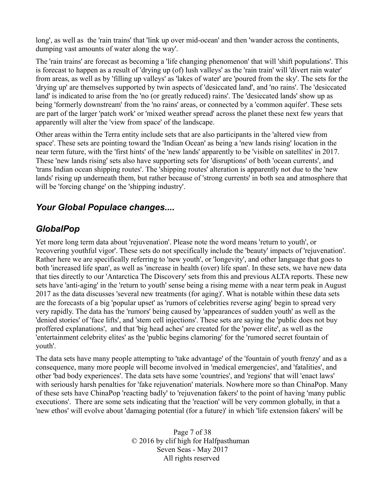long', as well as the 'rain trains' that 'link up over mid-ocean' and then 'wander across the continents, dumping vast amounts of water along the way'.

The 'rain trains' are forecast as becoming a 'life changing phenomenon' that will 'shift populations'. This is forecast to happen as a result of 'drying up (of) lush valleys' as the 'rain train' will 'divert rain water' from areas, as well as by 'filling up valleys' as 'lakes of water' are 'poured from the sky'. The sets for the 'drying up' are themselves supported by twin aspects of 'desiccated land', and 'no rains'. The 'desiccated land' is indicated to arise from the 'no (or greatly reduced) rains'. The 'desiccated lands' show up as being 'formerly downstream' from the 'no rains' areas, or connected by a 'common aquifer'. These sets are part of the larger 'patch work' or 'mixed weather spread' across the planet these next few years that apparently will alter the 'view from space' of the landscape.

Other areas within the Terra entity include sets that are also participants in the 'altered view from space'. These sets are pointing toward the 'Indian Ocean' as being a 'new lands rising' location in the near term future, with the 'first hints' of the 'new lands' apparently to be 'visible on satellites' in 2017. These 'new lands rising' sets also have supporting sets for 'disruptions' of both 'ocean currents', and 'trans Indian ocean shipping routes'. The 'shipping routes' alteration is apparently not due to the 'new lands' rising up underneath them, but rather because of 'strong currents' in both sea and atmosphere that will be 'forcing change' on the 'shipping industry'.

#### *Your Global Populace changes....*

#### *GlobalPop*

Yet more long term data about 'rejuvenation'. Please note the word means 'return to youth', or 'recovering youthful vigor'. These sets do not specifically include the 'beauty' impacts of 'rejuvenation'. Rather here we are specifically referring to 'new youth', or 'longevity', and other language that goes to both 'increased life span', as well as 'increase in health (over) life span'. In these sets, we have new data that ties directly to our 'Antarctica The Discovery' sets from this and previous ALTA reports. These new sets have 'anti-aging' in the 'return to youth' sense being a rising meme with a near term peak in August 2017 as the data discusses 'several new treatments (for aging)'. What is notable within these data sets are the forecasts of a big 'popular upset' as 'rumors of celebrities reverse aging' begin to spread very very rapidly. The data has the 'rumors' being caused by 'appearances of sudden youth' as well as the 'denied stories' of 'face lifts', and 'stem cell injections'. These sets are saying the 'public does not buy proffered explanations', and that 'big head aches' are created for the 'power elite', as well as the 'entertainment celebrity elites' as the 'public begins clamoring' for the 'rumored secret fountain of youth'.

The data sets have many people attempting to 'take advantage' of the 'fountain of youth frenzy' and as a consequence, many more people will become involved in 'medical emergencies', and 'fatalities', and other 'bad body experiences'. The data sets have some 'countries', and 'regions' that will 'enact laws' with seriously harsh penalties for 'fake rejuvenation' materials. Nowhere more so than ChinaPop. Many of these sets have ChinaPop 'reacting badly' to 'rejuvenation fakers' to the point of having 'many public executions'. There are some sets indicating that the 'reaction' will be very common globally, in that a 'new ethos' will evolve about 'damaging potential (for a future)' in which 'life extension fakers' will be

> Page 7 of 38 © 2016 by clif high for Halfpasthuman Seven Seas - May 2017 All rights reserved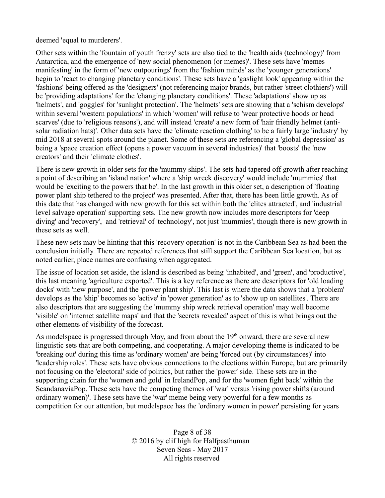deemed 'equal to murderers'.

Other sets within the 'fountain of youth frenzy' sets are also tied to the 'health aids (technology)' from Antarctica, and the emergence of 'new social phenomenon (or memes)'. These sets have 'memes manifesting' in the form of 'new outpourings' from the 'fashion minds' as the 'younger generations' begin to 'react to changing planetary conditions'. These sets have a 'gaslight look' appearing within the 'fashions' being offered as the 'designers' (not referencing major brands, but rather 'street clothiers') will be 'providing adaptations' for the 'changing planetary conditions'. These 'adaptations' show up as 'helmets', and 'goggles' for 'sunlight protection'. The 'helmets' sets are showing that a 'schism develops' within several 'western populations' in which 'women' will refuse to 'wear protective hoods or head scarves' (due to 'religious reasons'), and will instead 'create' a new form of 'hair friendly helmet (antisolar radiation hats)'. Other data sets have the 'climate reaction clothing' to be a fairly large 'industry' by mid 2018 at several spots around the planet. Some of these sets are referencing a 'global depression' as being a 'space creation effect (opens a power vacuum in several industries)' that 'boosts' the 'new creators' and their 'climate clothes'.

There is new growth in older sets for the 'mummy ships'. The sets had tapered off growth after reaching a point of describing an 'island nation' where a 'ship wreck discovery' would include 'mummies' that would be 'exciting to the powers that be'. In the last growth in this older set, a description of 'floating power plant ship tethered to the project' was presented. After that, there has been little growth. As of this date that has changed with new growth for this set within both the 'elites attracted', and 'industrial level salvage operation' supporting sets. The new growth now includes more descriptors for 'deep diving' and 'recovery', and 'retrieval' of 'technology', not just 'mummies', though there is new growth in these sets as well.

These new sets may be hinting that this 'recovery operation' is not in the Caribbean Sea as had been the conclusion initially. There are repeated references that still support the Caribbean Sea location, but as noted earlier, place names are confusing when aggregated.

The issue of location set aside, the island is described as being 'inhabited', and 'green', and 'productive', this last meaning 'agriculture exported'. This is a key reference as there are descriptors for 'old loading docks' with 'new purpose', and the 'power plant ship'. This last is where the data shows that a 'problem' develops as the 'ship' becomes so 'active' in 'power generation' as to 'show up on satellites'. There are also descriptors that are suggesting the 'mummy ship wreck retrieval operation' may well become 'visible' on 'internet satellite maps' and that the 'secrets revealed' aspect of this is what brings out the other elements of visibility of the forecast.

As modelspace is progressed through May, and from about the  $19<sup>th</sup>$  onward, there are several new linguistic sets that are both competing, and cooperating. A major developing theme is indicated to be 'breaking out' during this time as 'ordinary women' are being 'forced out (by circumstances)' into 'leadership roles'. These sets have obvious connections to the elections within Europe, but are primarily not focusing on the 'electoral' side of politics, but rather the 'power' side. These sets are in the supporting chain for the 'women and gold' in IrelandPop, and for the 'women fight back' within the ScandanaviaPop. These sets have the competing themes of 'war' versus 'rising power shifts (around ordinary women)'. These sets have the 'war' meme being very powerful for a few months as competition for our attention, but modelspace has the 'ordinary women in power' persisting for years

> Page 8 of 38 © 2016 by clif high for Halfpasthuman Seven Seas - May 2017 All rights reserved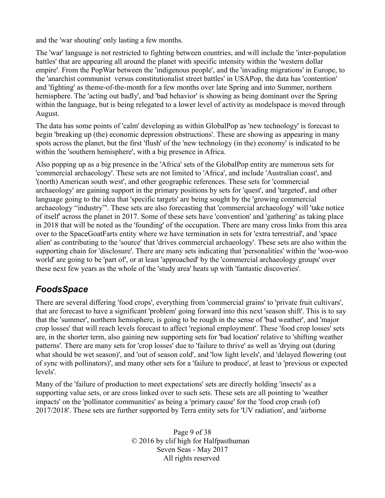and the 'war shouting' only lasting a few months.

The 'war' language is not restricted to fighting between countries, and will include the 'inter-population battles' that are appearing all around the planet with specific intensity within the 'western dollar empire'. From the PopWar between the 'indigenous people', and the 'invading migrations' in Europe, to the 'anarchist communist versus constitutionalist street battles' in USAPop, the data has 'contention' and 'fighting' as theme-of-the-month for a few months over late Spring and into Summer, northern hemisphere. The 'acting out badly', and 'bad behavior' is showing as being dominant over the Spring within the language, but is being relegated to a lower level of activity as modelspace is moved through August.

The data has some points of 'calm' developing as within GlobalPop as 'new technology' is forecast to begin 'breaking up (the) economic depression obstructions'. These are showing as appearing in many spots across the planet, but the first 'flush' of the 'new technology (in the) economy' is indicated to be within the 'southern hemisphere', with a big presence in Africa.

Also popping up as a big presence in the 'Africa' sets of the GlobalPop entity are numerous sets for 'commercial archaeology'. These sets are not limited to 'Africa', and include 'Australian coast', and '(north) American south west', and other geographic references. These sets for 'commercial archaeology' are gaining support in the primary positions by sets for 'quest', and 'targeted', and other language going to the idea that 'specific targets' are being sought by the 'growing commercial archaeology "industry"'. These sets are also forecasting that 'commercial archaeology' will 'take notice of itself' across the planet in 2017. Some of these sets have 'convention' and 'gathering' as taking place in 2018 that will be noted as the 'founding' of the occupation. There are many cross links from this area over to the SpaceGoatFarts entity where we have termination in sets for 'extra terrestrial', and 'space alien' as contributing to the 'source' that 'drives commercial archaeology'. These sets are also within the supporting chain for 'disclosure'. There are many sets indicating that 'personalities' within the 'woo-woo world' are going to be 'part of', or at least 'approached' by the 'commercial archaeology groups' over these next few years as the whole of the 'study area' heats up with 'fantastic discoveries'.

# *FoodsSpace*

There are several differing 'food crops', everything from 'commercial grains' to 'private fruit cultivars', that are forecast to have a significant 'problem' going forward into this next 'season shift'. This is to say that the 'summer', northern hemisphere, is going to be rough in the sense of 'bad weather', and 'major crop losses' that will reach levels forecast to affect 'regional employment'. These 'food crop losses' sets are, in the shorter term, also gaining new supporting sets for 'bad location' relative to 'shifting weather patterns'. There are many sets for 'crop losses' due to 'failure to thrive' as well as 'drying out (during what should be wet season)', and 'out of season cold', and 'low light levels', and 'delayed flowering (out of sync with pollinators)', and many other sets for a 'failure to produce', at least to 'previous or expected levels'.

Many of the 'failure of production to meet expectations' sets are directly holding 'insects' as a supporting value sets, or are cross linked over to such sets. These sets are all pointing to 'weather impacts' on the 'pollinator communities' as being a 'primary cause' for the 'food crop crash (of) 2017/2018'. These sets are further supported by Terra entity sets for 'UV radiation', and 'airborne

> Page 9 of 38 © 2016 by clif high for Halfpasthuman Seven Seas - May 2017 All rights reserved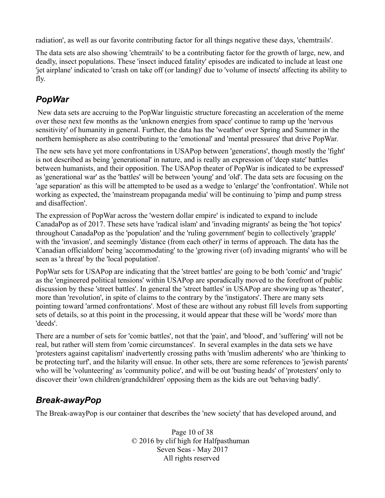radiation', as well as our favorite contributing factor for all things negative these days, 'chemtrails'.

The data sets are also showing 'chemtrails' to be a contributing factor for the growth of large, new, and deadly, insect populations. These 'insect induced fatality' episodes are indicated to include at least one 'jet airplane' indicated to 'crash on take off (or landing)' due to 'volume of insects' affecting its ability to fly.

# *PopWar*

 New data sets are accruing to the PopWar linguistic structure forecasting an acceleration of the meme over these next few months as the 'unknown energies from space' continue to ramp up the 'nervous sensitivity' of humanity in general. Further, the data has the 'weather' over Spring and Summer in the northern hemisphere as also contributing to the 'emotional' and 'mental pressures' that drive PopWar.

The new sets have yet more confrontations in USAPop between 'generations', though mostly the 'fight' is not described as being 'generational' in nature, and is really an expression of 'deep state' battles between humanists, and their opposition. The USAPop theater of PopWar is indicated to be expressed' as 'generational war' as the 'battles' will be between 'young' and 'old'. The data sets are focusing on the 'age separation' as this will be attempted to be used as a wedge to 'enlarge' the 'confrontation'. While not working as expected, the 'mainstream propaganda media' will be continuing to 'pimp and pump stress and disaffection'.

The expression of PopWar across the 'western dollar empire' is indicated to expand to include CanadaPop as of 2017. These sets have 'radical islam' and 'invading migrants' as being the 'hot topics' throughout CanadaPop as the 'population' and the 'ruling government' begin to collectively 'grapple' with the 'invasion', and seemingly 'distance (from each other)' in terms of approach. The data has the 'Canadian officialdom' being 'accommodating' to the 'growing river (of) invading migrants' who will be seen as 'a threat' by the 'local population'.

PopWar sets for USAPop are indicating that the 'street battles' are going to be both 'comic' and 'tragic' as the 'engineered political tensions' within USAPop are sporadically moved to the forefront of public discussion by these 'street battles'. In general the 'street battles' in USAPop are showing up as 'theater', more than 'revolution', in spite of claims to the contrary by the 'instigators'. There are many sets pointing toward 'armed confrontations'. Most of these are without any robust fill levels from supporting sets of details, so at this point in the processing, it would appear that these will be 'words' more than 'deeds'.

There are a number of sets for 'comic battles', not that the 'pain', and 'blood', and 'suffering' will not be real, but rather will stem from 'comic circumstances'. In several examples in the data sets we have 'protesters against capitalism' inadvertently crossing paths with 'muslim adherents' who are 'thinking to be protecting turf', and the hilarity will ensue. In other sets, there are some references to 'jewish parents' who will be 'volunteering' as 'community police', and will be out 'busting heads' of 'protesters' only to discover their 'own children/grandchildren' opposing them as the kids are out 'behaving badly'.

# *Break-awayPop*

The Break-awayPop is our container that describes the 'new society' that has developed around, and

Page 10 of 38 © 2016 by clif high for Halfpasthuman Seven Seas - May 2017 All rights reserved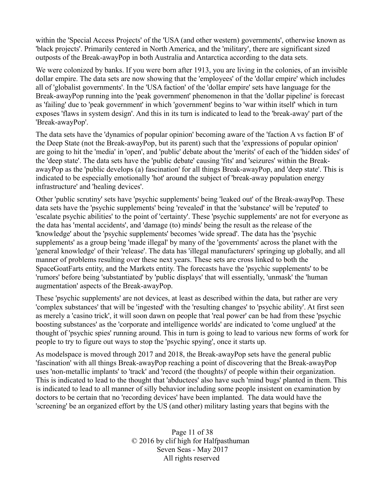within the 'Special Access Projects' of the 'USA (and other western) governments', otherwise known as 'black projects'. Primarily centered in North America, and the 'military', there are significant sized outposts of the Break-awayPop in both Australia and Antarctica according to the data sets.

We were colonized by banks. If you were born after 1913, you are living in the colonies, of an invisible dollar empire. The data sets are now showing that the 'employees' of the 'dollar empire' which includes all of 'globalist governments'. In the 'USA faction' of the 'dollar empire' sets have language for the Break-awayPop running into the 'peak government' phenomenon in that the 'dollar pipeline' is forecast as 'failing' due to 'peak government' in which 'government' begins to 'war within itself' which in turn exposes 'flaws in system design'. And this in its turn is indicated to lead to the 'break-away' part of the 'Break-awayPop'.

The data sets have the 'dynamics of popular opinion' becoming aware of the 'faction A vs faction B' of the Deep State (not the Break-awayPop, but its parent) such that the 'expressions of popular opinion' are going to hit the 'media' in 'open', and 'public' debate about the 'merits' of each of the 'hidden sides' of the 'deep state'. The data sets have the 'public debate' causing 'fits' and 'seizures' within the BreakawayPop as the 'public develops (a) fascination' for all things Break-awayPop, and 'deep state'. This is indicated to be especially emotionally 'hot' around the subject of 'break-away population energy infrastructure' and 'healing devices'.

Other 'public scrutiny' sets have 'psychic supplements' being 'leaked out' of the Break-awayPop. These data sets have the 'psychic supplements' being 'revealed' in that the 'substance' will be 'reputed' to 'escalate psychic abilities' to the point of 'certainty'. These 'psychic supplements' are not for everyone as the data has 'mental accidents', and 'damage (to) minds' being the result as the release of the 'knowledge' about the 'psychic supplements' becomes 'wide spread'. The data has the 'psychic supplements' as a group being 'made illegal' by many of the 'governments' across the planet with the 'general knowledge' of their 'release'. The data has 'illegal manufacturers' springing up globally, and all manner of problems resulting over these next years. These sets are cross linked to both the SpaceGoatFarts entity, and the Markets entity. The forecasts have the 'psychic supplements' to be 'rumors' before being 'substantiated' by 'public displays' that will essentially, 'unmask' the 'human augmentation' aspects of the Break-awayPop.

These 'psychic supplements' are not devices, at least as described within the data, but rather are very 'complex substances' that will be 'ingested' with the 'resulting changes' to 'psychic ability'. At first seen as merely a 'casino trick', it will soon dawn on people that 'real power' can be had from these 'psychic boosting substances' as the 'corporate and intelligence worlds' are indicated to 'come unglued' at the thought of 'psychic spies' running around. This in turn is going to lead to various new forms of work for people to try to figure out ways to stop the 'psychic spying', once it starts up.

As modelspace is moved through 2017 and 2018, the Break-awayPop sets have the general public 'fascination' with all things Break-awayPop reaching a point of discovering that the Break-awayPop uses 'non-metallic implants' to 'track' and 'record (the thoughts)' of people within their organization. This is indicated to lead to the thought that 'abductees' also have such 'mind bugs' planted in them. This is indicated to lead to all manner of silly behavior including some people insistent on examination by doctors to be certain that no 'recording devices' have been implanted. The data would have the 'screening' be an organized effort by the US (and other) military lasting years that begins with the

> Page 11 of 38 © 2016 by clif high for Halfpasthuman Seven Seas - May 2017 All rights reserved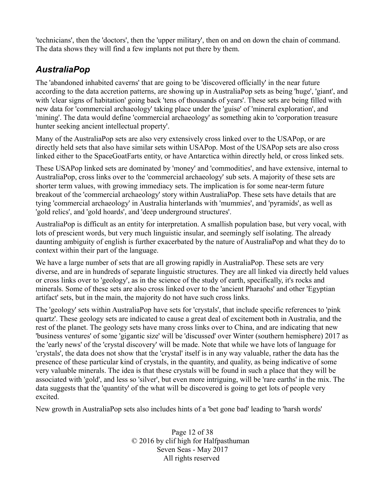'technicians', then the 'doctors', then the 'upper military', then on and on down the chain of command. The data shows they will find a few implants not put there by them.

#### *AustraliaPop*

The 'abandoned inhabited caverns' that are going to be 'discovered officially' in the near future according to the data accretion patterns, are showing up in AustraliaPop sets as being 'huge', 'giant', and with 'clear signs of habitation' going back 'tens of thousands of years'. These sets are being filled with new data for 'commercial archaeology' taking place under the 'guise' of 'mineral exploration', and 'mining'. The data would define 'commercial archaeology' as something akin to 'corporation treasure hunter seeking ancient intellectual property'.

Many of the AustraliaPop sets are also very extensively cross linked over to the USAPop, or are directly held sets that also have similar sets within USAPop. Most of the USAPop sets are also cross linked either to the SpaceGoatFarts entity, or have Antarctica within directly held, or cross linked sets.

These USAPop linked sets are dominated by 'money' and 'commodities', and have extensive, internal to AustraliaPop, cross links over to the 'commercial archaeology' sub sets. A majority of these sets are shorter term values, with growing immediacy sets. The implication is for some near-term future breakout of the 'commercial archaeology' story within AustraliaPop. These sets have details that are tying 'commercial archaeology' in Australia hinterlands with 'mummies', and 'pyramids', as well as 'gold relics', and 'gold hoards', and 'deep underground structures'.

AustraliaPop is difficult as an entity for interpretation. A smallish population base, but very vocal, with lots of prescient words, but very much linguistic insular, and seemingly self isolating. The already daunting ambiguity of english is further exacerbated by the nature of AustraliaPop and what they do to context within their part of the language.

We have a large number of sets that are all growing rapidly in AustraliaPop. These sets are very diverse, and are in hundreds of separate linguistic structures. They are all linked via directly held values or cross links over to 'geology', as in the science of the study of earth, specifically, it's rocks and minerals. Some of these sets are also cross linked over to the 'ancient Pharaohs' and other 'Egyptian artifact' sets, but in the main, the majority do not have such cross links.

The 'geology' sets within AustraliaPop have sets for 'crystals', that include specific references to 'pink quartz'. These geology sets are indicated to cause a great deal of excitement both in Australia, and the rest of the planet. The geology sets have many cross links over to China, and are indicating that new 'business ventures' of some 'gigantic size' will be 'discussed' over Winter (southern hemisphere) 2017 as the 'early news' of the 'crystal discovery' will be made. Note that while we have lots of language for 'crystals', the data does not show that the 'crystal' itself is in any way valuable, rather the data has the presence of these particular kind of crystals, in the quantity, and quality, as being indicative of some very valuable minerals. The idea is that these crystals will be found in such a place that they will be associated with 'gold', and less so 'silver', but even more intriguing, will be 'rare earths' in the mix. The data suggests that the 'quantity' of the what will be discovered is going to get lots of people very excited.

New growth in AustraliaPop sets also includes hints of a 'bet gone bad' leading to 'harsh words'

Page 12 of 38 © 2016 by clif high for Halfpasthuman Seven Seas - May 2017 All rights reserved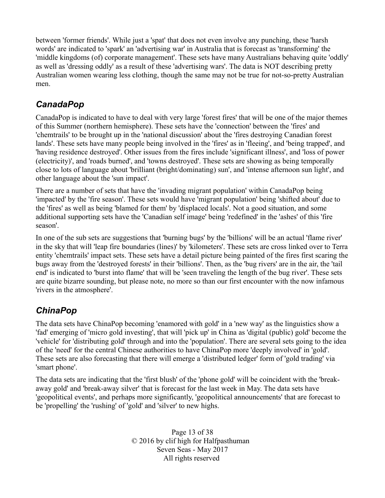between 'former friends'. While just a 'spat' that does not even involve any punching, these 'harsh words' are indicated to 'spark' an 'advertising war' in Australia that is forecast as 'transforming' the 'middle kingdoms (of) corporate management'. These sets have many Australians behaving quite 'oddly' as well as 'dressing oddly' as a result of these 'advertising wars'. The data is NOT describing pretty Australian women wearing less clothing, though the same may not be true for not-so-pretty Australian men.

#### *CanadaPop*

CanadaPop is indicated to have to deal with very large 'forest fires' that will be one of the major themes of this Summer (northern hemisphere). These sets have the 'connection' between the 'fires' and 'chemtrails' to be brought up in the 'national discussion' about the 'fires destroying Canadian forest lands'. These sets have many people being involved in the 'fires' as in 'fleeing', and 'being trapped', and 'having residence destroyed'. Other issues from the fires include 'significant illness', and 'loss of power (electricity)', and 'roads burned', and 'towns destroyed'. These sets are showing as being temporally close to lots of language about 'brilliant (bright/dominating) sun', and 'intense afternoon sun light', and other language about the 'sun impact'.

There are a number of sets that have the 'invading migrant population' within CanadaPop being 'impacted' by the 'fire season'. These sets would have 'migrant population' being 'shifted about' due to the 'fires' as well as being 'blamed for them' by 'displaced locals'. Not a good situation, and some additional supporting sets have the 'Canadian self image' being 'redefined' in the 'ashes' of this 'fire season'.

In one of the sub sets are suggestions that 'burning bugs' by the 'billions' will be an actual 'flame river' in the sky that will 'leap fire boundaries (lines)' by 'kilometers'. These sets are cross linked over to Terra entity 'chemtrails' impact sets. These sets have a detail picture being painted of the fires first scaring the bugs away from the 'destroyed forests' in their 'billions'. Then, as the 'bug rivers' are in the air, the 'tail end' is indicated to 'burst into flame' that will be 'seen traveling the length of the bug river'. These sets are quite bizarre sounding, but please note, no more so than our first encounter with the now infamous 'rivers in the atmosphere'.

# *ChinaPop*

The data sets have ChinaPop becoming 'enamored with gold' in a 'new way' as the linguistics show a 'fad' emerging of 'micro gold investing', that will 'pick up' in China as 'digital (public) gold' become the 'vehicle' for 'distributing gold' through and into the 'population'. There are several sets going to the idea of the 'need' for the central Chinese authorities to have ChinaPop more 'deeply involved' in 'gold'. These sets are also forecasting that there will emerge a 'distributed ledger' form of 'gold trading' via 'smart phone'.

The data sets are indicating that the 'first blush' of the 'phone gold' will be coincident with the 'breakaway gold' and 'break-away silver' that is forecast for the last week in May. The data sets have 'geopolitical events', and perhaps more significantly, 'geopolitical announcements' that are forecast to be 'propelling' the 'rushing' of 'gold' and 'silver' to new highs.

> Page 13 of 38 © 2016 by clif high for Halfpasthuman Seven Seas - May 2017 All rights reserved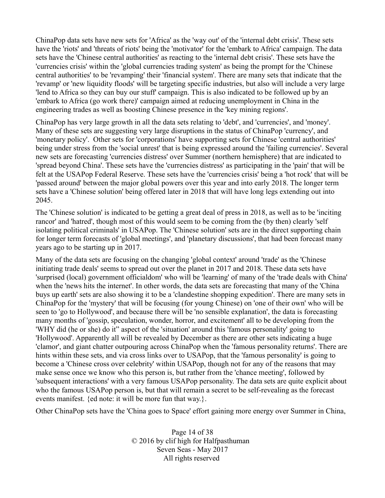ChinaPop data sets have new sets for 'Africa' as the 'way out' of the 'internal debt crisis'. These sets have the 'riots' and 'threats of riots' being the 'motivator' for the 'embark to Africa' campaign. The data sets have the 'Chinese central authorities' as reacting to the 'internal debt crisis'. These sets have the 'currencies crisis' within the 'global currencies trading system' as being the prompt for the 'Chinese central authorities' to be 'revamping' their 'financial system'. There are many sets that indicate that the 'revamp' or 'new liquidity floods' will be targeting specific industries, but also will include a very large 'lend to Africa so they can buy our stuff' campaign. This is also indicated to be followed up by an 'embark to Africa (go work there)' campaign aimed at reducing unemployment in China in the engineering trades as well as boosting Chinese presence in the 'key mining regions'.

ChinaPop has very large growth in all the data sets relating to 'debt', and 'currencies', and 'money'. Many of these sets are suggesting very large disruptions in the status of ChinaPop 'currency', and 'monetary policy'. Other sets for 'corporations' have supporting sets for Chinese 'central authorities' being under stress from the 'social unrest' that is being expressed around the 'failing currencies'. Several new sets are forecasting 'currencies distress' over Summer (northern hemisphere) that are indicated to 'spread beyond China'. These sets have the 'currencies distress' as participating in the 'pain' that will be felt at the USAPop Federal Reserve. These sets have the 'currencies crisis' being a 'hot rock' that will be 'passed around' between the major global powers over this year and into early 2018. The longer term sets have a 'Chinese solution' being offered later in 2018 that will have long legs extending out into 2045.

The 'Chinese solution' is indicated to be getting a great deal of press in 2018, as well as to be 'inciting rancor' and 'hatred', though most of this would seem to be coming from the (by then) clearly 'self isolating political criminals' in USAPop. The 'Chinese solution' sets are in the direct supporting chain for longer term forecasts of 'global meetings', and 'planetary discussions', that had been forecast many years ago to be starting up in 2017.

Many of the data sets are focusing on the changing 'global context' around 'trade' as the 'Chinese initiating trade deals' seems to spread out over the planet in 2017 and 2018. These data sets have 'surprised (local) government officialdom' who will be 'learning' of many of the 'trade deals with China' when the 'news hits the internet'. In other words, the data sets are forecasting that many of the 'China buys up earth' sets are also showing it to be a 'clandestine shopping expedition'. There are many sets in ChinaPop for the 'mystery' that will be focusing (for young Chinese) on 'one of their own' who will be seen to 'go to Hollywood', and because there will be 'no sensible explanation', the data is forecasting many months of 'gossip, speculation, wonder, horror, and excitement' all to be developing from the 'WHY did (he or she) do it" aspect of the 'situation' around this 'famous personality' going to 'Hollywood'. Apparently all will be revealed by December as there are other sets indicating a huge 'clamor', and giant chatter outpouring across ChinaPop when the 'famous personality returns'. There are hints within these sets, and via cross links over to USAPop, that the 'famous personality' is going to become a 'Chinese cross over celebrity' within USAPop, though not for any of the reasons that may make sense once we know who this person is, but rather from the 'chance meeting', followed by 'subsequent interactions' with a very famous USAPop personality. The data sets are quite explicit about who the famous USAPop person is, but that will remain a secret to be self-revealing as the forecast events manifest. {ed note: it will be more fun that way.}.

Other ChinaPop sets have the 'China goes to Space' effort gaining more energy over Summer in China,

Page 14 of 38 © 2016 by clif high for Halfpasthuman Seven Seas - May 2017 All rights reserved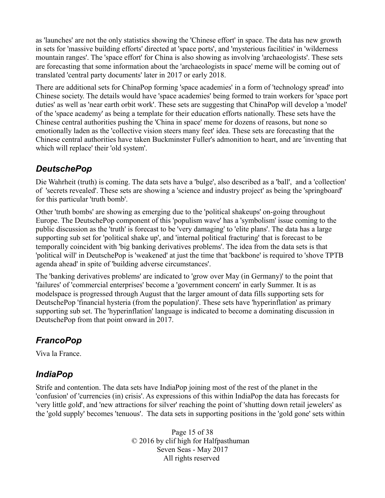as 'launches' are not the only statistics showing the 'Chinese effort' in space. The data has new growth in sets for 'massive building efforts' directed at 'space ports', and 'mysterious facilities' in 'wilderness mountain ranges'. The 'space effort' for China is also showing as involving 'archaeologists'. These sets are forecasting that some information about the 'archaeologists in space' meme will be coming out of translated 'central party documents' later in 2017 or early 2018.

There are additional sets for ChinaPop forming 'space academies' in a form of 'technology spread' into Chinese society. The details would have 'space academies' being formed to train workers for 'space port duties' as well as 'near earth orbit work'. These sets are suggesting that ChinaPop will develop a 'model' of the 'space academy' as being a template for their education efforts nationally. These sets have the Chinese central authorities pushing the 'China in space' meme for dozens of reasons, but none so emotionally laden as the 'collective vision steers many feet' idea. These sets are forecasting that the Chinese central authorities have taken Buckminster Fuller's admonition to heart, and are 'inventing that which will replace' their 'old system'.

#### *DeutschePop*

Die Wahrheit (truth) is coming. The data sets have a 'bulge', also described as a 'ball', and a 'collection' of 'secrets revealed'. These sets are showing a 'science and industry project' as being the 'springboard' for this particular 'truth bomb'.

Other 'truth bombs' are showing as emerging due to the 'political shakeups' on-going throughout Europe. The DeutschePop component of this 'populism wave' has a 'symbolism' issue coming to the public discussion as the 'truth' is forecast to be 'very damaging' to 'elite plans'. The data has a large supporting sub set for 'political shake up', and 'internal political fracturing' that is forecast to be temporally coincident with 'big banking derivatives problems'. The idea from the data sets is that 'political will' in DeutschePop is 'weakened' at just the time that 'backbone' is required to 'shove TPTB agenda ahead' in spite of 'building adverse circumstances'.

The 'banking derivatives problems' are indicated to 'grow over May (in Germany)' to the point that 'failures' of 'commercial enterprises' become a 'government concern' in early Summer. It is as modelspace is progressed through August that the larger amount of data fills supporting sets for DeutschePop 'financial hysteria (from the population)'. These sets have 'hyperinflation' as primary supporting sub set. The 'hyperinflation' language is indicated to become a dominating discussion in DeutschePop from that point onward in 2017.

# *FrancoPop*

Viva la France.

# *IndiaPop*

Strife and contention. The data sets have IndiaPop joining most of the rest of the planet in the 'confusion' of 'currencies (in) crisis'. As expressions of this within IndiaPop the data has forecasts for 'very little gold', and 'new attractions for silver' reaching the point of 'shutting down retail jewelers' as the 'gold supply' becomes 'tenuous'. The data sets in supporting positions in the 'gold gone' sets within

> Page 15 of 38 © 2016 by clif high for Halfpasthuman Seven Seas - May 2017 All rights reserved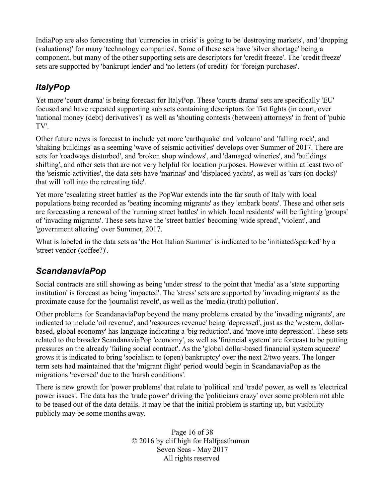IndiaPop are also forecasting that 'currencies in crisis' is going to be 'destroying markets', and 'dropping (valuations)' for many 'technology companies'. Some of these sets have 'silver shortage' being a component, but many of the other supporting sets are descriptors for 'credit freeze'. The 'credit freeze' sets are supported by 'bankrupt lender' and 'no letters (of credit)' for 'foreign purchases'.

# *ItalyPop*

Yet more 'court drama' is being forecast for ItalyPop. These 'courts drama' sets are specifically 'EU' focused and have repeated supporting sub sets containing descriptors for 'fist fights (in court, over 'national money (debt) derivatives')' as well as 'shouting contests (between) attorneys' in front of 'pubic TV'.

Other future news is forecast to include yet more 'earthquake' and 'volcano' and 'falling rock', and 'shaking buildings' as a seeming 'wave of seismic activities' develops over Summer of 2017. There are sets for 'roadways disturbed', and 'broken shop windows', and 'damaged wineries', and 'buildings shifting', and other sets that are not very helpful for location purposes. However within at least two of the 'seismic activities', the data sets have 'marinas' and 'displaced yachts', as well as 'cars (on docks)' that will 'roll into the retreating tide'.

Yet more 'escalating street battles' as the PopWar extends into the far south of Italy with local populations being recorded as 'beating incoming migrants' as they 'embark boats'. These and other sets are forecasting a renewal of the 'running street battles' in which 'local residents' will be fighting 'groups' of 'invading migrants'. These sets have the 'street battles' becoming 'wide spread', 'violent', and 'government altering' over Summer, 2017.

What is labeled in the data sets as 'the Hot Italian Summer' is indicated to be 'initiated/sparked' by a 'street vendor (coffee?)'.

# *ScandanaviaPop*

Social contracts are still showing as being 'under stress' to the point that 'media' as a 'state supporting institution' is forecast as being 'impacted'. The 'stress' sets are supported by 'invading migrants' as the proximate cause for the 'journalist revolt', as well as the 'media (truth) pollution'.

Other problems for ScandanaviaPop beyond the many problems created by the 'invading migrants', are indicated to include 'oil revenue', and 'resources revenue' being 'depressed', just as the 'western, dollarbased, global economy' has language indicating a 'big reduction', and 'move into depression'. These sets related to the broader ScandanaviaPop 'economy', as well as 'financial system' are forecast to be putting pressures on the already 'failing social contract'. As the 'global dollar-based financial system squeeze' grows it is indicated to bring 'socialism to (open) bankruptcy' over the next 2/two years. The longer term sets had maintained that the 'migrant flight' period would begin in ScandanaviaPop as the migrations 'reversed' due to the 'harsh conditions'.

There is new growth for 'power problems' that relate to 'political' and 'trade' power, as well as 'electrical power issues'. The data has the 'trade power' driving the 'politicians crazy' over some problem not able to be teased out of the data details. It may be that the initial problem is starting up, but visibility publicly may be some months away.

> Page 16 of 38 © 2016 by clif high for Halfpasthuman Seven Seas - May 2017 All rights reserved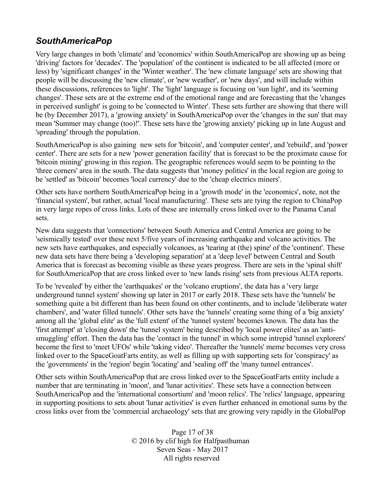#### *SouthAmericaPop*

Very large changes in both 'climate' and 'economics' within SouthAmericaPop are showing up as being 'driving' factors for 'decades'. The 'population' of the continent is indicated to be all affected (more or less) by 'significant changes' in the 'Winter weather'. The 'new climate language' sets are showing that people will be discussing the 'new climate', or 'new weather', or 'new days', and will include within these discussions, references to 'light'. The 'light' language is focusing on 'sun light', and its 'seeming changes'. These sets are at the extreme end of the emotional range and are forecasting that the 'changes in perceived sunlight' is going to be 'connected to Winter'. These sets further are showing that there will be (by December 2017), a 'growing anxiety' in SouthAmericaPop over the 'changes in the sun' that may mean 'Summer may change (too)!'. These sets have the 'growing anxiety' picking up in late August and 'spreading' through the population.

SouthAmericaPop is also gaining new sets for 'bitcoin', and 'computer center', and 'rebuild', and 'power center'. There are sets for a new 'power generation facility' that is forecast to be the proximate cause for 'bitcoin mining' growing in this region. The geographic references would seem to be pointing to the 'three corners' area in the south. The data suggests that 'money politics' in the local region are going to be 'settled' as 'bitcoin' becomes 'local currency' due to the 'cheap electrics miners'.

Other sets have northern SouthAmericaPop being in a 'growth mode' in the 'economics', note, not the 'financial system', but rather, actual 'local manufacturing'. These sets are tying the region to ChinaPop in very large ropes of cross links. Lots of these are internally cross linked over to the Panama Canal sets.

New data suggests that 'connections' between South America and Central America are going to be 'seismically tested' over these next 5/five years of increasing earthquake and volcano activities. The new sets have earthquakes, and especially volcanoes, as 'tearing at (the) spine' of the 'continent'. These new data sets have there being a 'developing separation' at a 'deep level' between Central and South America that is forecast as becoming visible as these years progress. There are sets in the 'spinal shift' for SouthAmericaPop that are cross linked over to 'new lands rising' sets from previous ALTA reports.

To be 'revealed' by either the 'earthquakes' or the 'volcano eruptions', the data has a 'very large underground tunnel system' showing up later in 2017 or early 2018. These sets have the 'tunnels' be something quite a bit different than has been found on other continents, and to include 'deliberate water chambers', and 'water filled tunnels'. Other sets have the 'tunnels' creating some thing of a 'big anxiety' among all the 'global elite' as the 'full extent' of the 'tunnel system' becomes known. The data has the 'first attempt' at 'closing down' the 'tunnel system' being described by 'local power elites' as an 'antismuggling' effort. Then the data has the 'contact in the tunnel' in which some intrepid 'tunnel explorers' become the first to 'meet UFOs' while 'taking video'. Thereafter the 'tunnels' meme becomes very cross linked over to the SpaceGoatFarts entity, as well as filling up with supporting sets for 'conspiracy' as the 'governments' in the 'region' begin 'locating' and 'sealing off' the 'many tunnel entrances'.

Other sets within SouthAmericaPop that are cross linked over to the SpaceGoatFarts entity include a number that are terminating in 'moon', and 'lunar activities'. These sets have a connection between SouthAmericaPop and the 'international consortium' and 'moon relics'. The 'relics' language, appearing in supporting positions to sets about 'lunar activities' is even further enhanced in emotional sums by the cross links over from the 'commercial archaeology' sets that are growing very rapidly in the GlobalPop

> Page 17 of 38 © 2016 by clif high for Halfpasthuman Seven Seas - May 2017 All rights reserved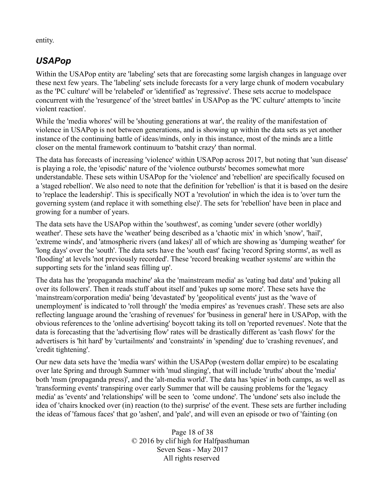entity.

# *USAPop*

Within the USAPop entity are 'labeling' sets that are forecasting some largish changes in language over these next few years. The 'labeling' sets include forecasts for a very large chunk of modern vocabulary as the 'PC culture' will be 'relabeled' or 'identified' as 'regressive'. These sets accrue to modelspace concurrent with the 'resurgence' of the 'street battles' in USAPop as the 'PC culture' attempts to 'incite violent reaction'.

While the 'media whores' will be 'shouting generations at war', the reality of the manifestation of violence in USAPop is not between generations, and is showing up within the data sets as yet another instance of the continuing battle of ideas/minds, only in this instance, most of the minds are a little closer on the mental framework continuum to 'batshit crazy' than normal.

The data has forecasts of increasing 'violence' within USAPop across 2017, but noting that 'sun disease' is playing a role, the 'episodic' nature of the 'violence outbursts' becomes somewhat more understandable. These sets within USAPop for the 'violence' and 'rebellion' are specifically focused on a 'staged rebellion'. We also need to note that the definition for 'rebellion' is that it is based on the desire to 'replace the leadership'. This is specifically NOT a 'revolution' in which the idea is to 'over turn the governing system (and replace it with something else)'. The sets for 'rebellion' have been in place and growing for a number of years.

The data sets have the USAPop within the 'southwest', as coming 'under severe (other worldly) weather'. These sets have the 'weather' being described as a 'chaotic mix' in which 'snow', 'hail', 'extreme winds', and 'atmospheric rivers (and lakes)' all of which are showing as 'dumping weather' for 'long days' over the 'south'. The data sets have the 'south east' facing 'record Spring storms', as well as 'flooding' at levels 'not previously recorded'. These 'record breaking weather systems' are within the supporting sets for the 'inland seas filling up'.

The data has the 'propaganda machine' aka the 'mainstream media' as 'eating bad data' and 'puking all over its followers'. Then it reads stuff about itself and 'pukes up some more'. These sets have the 'mainstream/corporation media' being 'devastated' by 'geopolitical events' just as the 'wave of unemployment' is indicated to 'roll through' the 'media empires' as 'revenues crash'. These sets are also reflecting language around the 'crashing of revenues' for 'business in general' here in USAPop, with the obvious references to the 'online advertising' boycott taking its toll on 'reported revenues'. Note that the data is forecasting that the 'advertising flow' rates will be drastically different as 'cash flows' for the advertisers is 'hit hard' by 'curtailments' and 'constraints' in 'spending' due to 'crashing revenues', and 'credit tightening'.

Our new data sets have the 'media wars' within the USAPop (western dollar empire) to be escalating over late Spring and through Summer with 'mud slinging', that will include 'truths' about the 'media' both 'msm (propaganda press)', and the 'alt-media world'. The data has 'spies' in both camps, as well as 'transforming events' transpiring over early Summer that will be causing problems for the 'legacy media' as 'events' and 'relationships' will be seen to 'come undone'. The 'undone' sets also include the idea of 'chairs knocked over (in) reaction (to the) surprise' of the event. These sets are further including the ideas of 'famous faces' that go 'ashen', and 'pale', and will even an episode or two of 'fainting (on

> Page 18 of 38 © 2016 by clif high for Halfpasthuman Seven Seas - May 2017 All rights reserved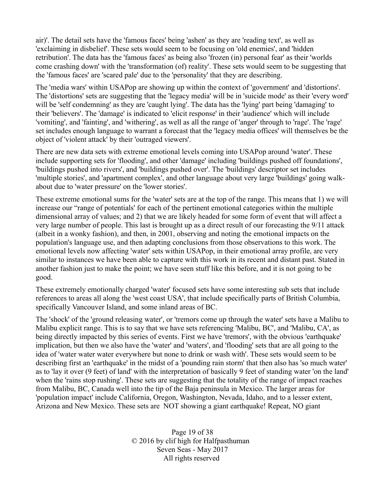air)'. The detail sets have the 'famous faces' being 'ashen' as they are 'reading text', as well as 'exclaiming in disbelief'. These sets would seem to be focusing on 'old enemies', and 'hidden retribution'. The data has the 'famous faces' as being also 'frozen (in) personal fear' as their 'worlds come crashing down' with the 'transformation (of) reality'. These sets would seem to be suggesting that the 'famous faces' are 'scared pale' due to the 'personality' that they are describing.

The 'media wars' within USAPop are showing up within the context of 'government' and 'distortions'. The 'distortions' sets are suggesting that the 'legacy media' will be in 'suicide mode' as their 'every word' will be 'self condemning' as they are 'caught lying'. The data has the 'lying' part being 'damaging' to their 'believers'. The 'damage' is indicated to 'elicit response' in their 'audience' which will include 'vomiting', and 'fainting', and 'withering', as well as all the range of 'anger' through to 'rage'. The 'rage' set includes enough language to warrant a forecast that the 'legacy media offices' will themselves be the object of 'violent attack' by their 'outraged viewers'.

There are new data sets with extreme emotional levels coming into USAPop around 'water'. These include supporting sets for 'flooding', and other 'damage' including 'buildings pushed off foundations', 'buildings pushed into rivers', and 'buildings pushed over'. The 'buildings' descriptor set includes 'multiple stories', and 'apartment complex', and other language about very large 'buildings' going walkabout due to 'water pressure' on the 'lower stories'.

These extreme emotional sums for the 'water' sets are at the top of the range. This means that 1) we will increase our "range of potentials' for each of the pertinent emotional categories within the multiple dimensional array of values; and 2) that we are likely headed for some form of event that will affect a very large number of people. This last is brought up as a direct result of our forecasting the 9/11 attack (albeit in a wonky fashion), and then, in 2001, observing and noting the emotional impacts on the population's language use, and then adapting conclusions from those observations to this work. The emotional levels now affecting 'water' sets within USAPop, in their emotional array profile, are very similar to instances we have been able to capture with this work in its recent and distant past. Stated in another fashion just to make the point; we have seen stuff like this before, and it is not going to be good.

These extremely emotionally charged 'water' focused sets have some interesting sub sets that include references to areas all along the 'west coast USA', that include specifically parts of British Columbia, specifically Vancouver Island, and some inland areas of BC.

The 'shock' of the 'ground releasing water', or 'tremors come up through the water' sets have a Malibu to Malibu explicit range. This is to say that we have sets referencing 'Malibu, BC', and 'Malibu, CA', as being directly impacted by this series of events. First we have 'tremors', with the obvious 'earthquake' implication, but then we also have the 'water' and 'waters', and 'flooding' sets that are all going to the idea of 'water water water everywhere but none to drink or wash with'. These sets would seem to be describing first an 'earthquake' in the midst of a 'pounding rain storm' that then also has 'so much water' as to 'lay it over (9 feet) of land' with the interpretation of basically 9 feet of standing water 'on the land' when the 'rains stop rushing'. These sets are suggesting that the totality of the range of impact reaches from Malibu, BC, Canada well into the tip of the Baja peninsula in Mexico. The larger areas for 'population impact' include California, Oregon, Washington, Nevada, Idaho, and to a lesser extent, Arizona and New Mexico. These sets are NOT showing a giant earthquake! Repeat, NO giant

> Page 19 of 38 © 2016 by clif high for Halfpasthuman Seven Seas - May 2017 All rights reserved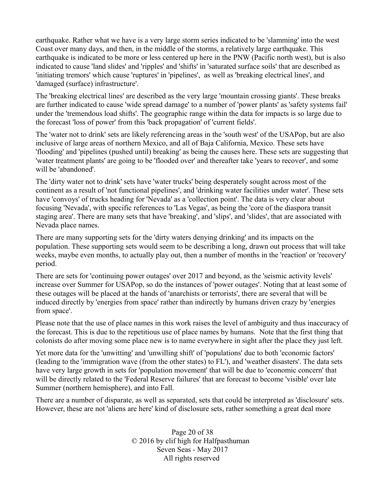earthquake. Rather what we have is a very large storm series indicated to be 'slamming' into the west Coast over many days, and then, in the middle of the storms, a relatively large earthquake. This earthquake is indicated to be more or less centered up here in the PNW (Pacific north west), but is also indicated to cause 'land slides' and 'ripples' and 'shifts' in 'saturated surface soils' that are described as 'initiating tremors' which cause 'ruptures' in 'pipelines', as well as 'breaking electrical lines', and 'damaged (surface) infrastructure'.

The 'breaking electrical lines' are described as the very large 'mountain crossing giants'. These breaks are further indicated to cause 'wide spread damage' to a number of 'power plants' as 'safety systems fail' under the 'tremendous load shifts'. The geographic range within the data for impacts is so large due to the forecast 'loss of power' from this 'back propagation' of 'current fields'.

The 'water not to drink' sets are likely referencing areas in the 'south west' of the USAPop, but are also inclusive of large areas of northern Mexico, and all of Baja California, Mexico. These sets have 'flooding' and 'pipelines (pushed until) breaking' as being the causes here. These sets are suggesting that 'water treatment plants' are going to be 'flooded over' and thereafter take 'years to recover', and some will be 'abandoned'.

The 'dirty water not to drink' sets have 'water trucks' being desperately sought across most of the continent as a result of 'not functional pipelines', and 'drinking water facilities under water'. These sets have 'convoys' of trucks heading for 'Nevada' as a 'collection point'. The data is very clear about focusing 'Nevada', with specific references to 'Las Vegas', as being the 'core of the diaspora transit staging area'. There are many sets that have 'breaking', and 'slips', and 'slides', that are associated with Nevada place names.

There are many supporting sets for the 'dirty waters denying drinking' and its impacts on the population. These supporting sets would seem to be describing a long, drawn out process that will take weeks, maybe even months, to actually play out, then a number of months in the 'reaction' or 'recovery' period.

There are sets for 'continuing power outages' over 2017 and beyond, as the 'seismic activity levels' increase over Summer for USAPop, so do the instances of 'power outages'. Noting that at least some of these outages will be placed at the hands of 'anarchists or terrorists', there are several that will be induced directly by 'energies from space' rather than indirectly by humans driven crazy by 'energies from space'.

Please note that the use of place names in this work raises the level of ambiguity and thus inaccuracy of the forecast. This is due to the repetitious use of place names by humans. Note that the first thing that colonists do after moving some place new is to name everywhere in sight after the place they just left.

Yet more data for the 'unwitting' and 'unwilling shift' of 'populations' due to both 'economic factors' (leading to the 'immigration wave (from the other states) to FL'), and 'weather disasters'. The data sets have very large growth in sets for 'population movement' that will be due to 'economic concern' that will be directly related to the 'Federal Reserve failures' that are forecast to become 'visible' over late Summer (northern hemisphere), and into Fall.

There are a number of disparate, as well as separated, sets that could be interpreted as 'disclosure' sets. However, these are not 'aliens are here' kind of disclosure sets, rather something a great deal more

> Page 20 of 38 © 2016 by clif high for Halfpasthuman Seven Seas - May 2017 All rights reserved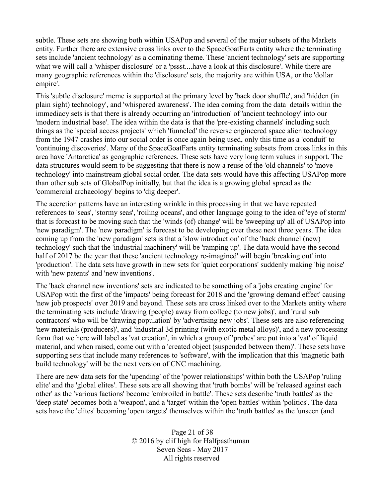subtle. These sets are showing both within USAPop and several of the major subsets of the Markets entity. Further there are extensive cross links over to the SpaceGoatFarts entity where the terminating sets include 'ancient technology' as a dominating theme. These 'ancient technology' sets are supporting what we will call a 'whisper disclosure' or a 'pssst....have a look at this disclosure'. While there are many geographic references within the 'disclosure' sets, the majority are within USA, or the 'dollar empire'.

This 'subtle disclosure' meme is supported at the primary level by 'back door shuffle', and 'hidden (in plain sight) technology', and 'whispered awareness'. The idea coming from the data details within the immediacy sets is that there is already occurring an 'introduction' of 'ancient technology' into our 'modern industrial base'. The idea within the data is that the 'pre-existing channels' including such things as the 'special access projects' which 'funneled' the reverse engineered space alien technology from the 1947 crashes into our social order is once again being used, only this time as a 'conduit' to 'continuing discoveries'. Many of the SpaceGoatFarts entity terminating subsets from cross links in this area have 'Antarctica' as geographic references. These sets have very long term values in support. The data structures would seem to be suggesting that there is now a reuse of the 'old channels' to 'move technology' into mainstream global social order. The data sets would have this affecting USAPop more than other sub sets of GlobalPop initially, but that the idea is a growing global spread as the 'commercial archaeology' begins to 'dig deeper'.

The accretion patterns have an interesting wrinkle in this processing in that we have repeated references to 'seas', 'stormy seas', 'roiling oceans', and other language going to the idea of 'eye of storm' that is forecast to be moving such that the 'winds (of) change' will be 'sweeping up' all of USAPop into 'new paradigm'. The 'new paradigm' is forecast to be developing over these next three years. The idea coming up from the 'new paradigm' sets is that a 'slow introduction' of the 'back channel (new) technology' such that the 'industrial machinery' will be 'ramping up'. The data would have the second half of 2017 be the year that these 'ancient technology re-imagined' will begin 'breaking out' into 'production'. The data sets have growth in new sets for 'quiet corporations' suddenly making 'big noise' with 'new patents' and 'new inventions'.

The 'back channel new inventions' sets are indicated to be something of a 'jobs creating engine' for USAPop with the first of the 'impacts' being forecast for 2018 and the 'growing demand effect' causing 'new job prospects' over 2019 and beyond. These sets are cross linked over to the Markets entity where the terminating sets include 'drawing (people) away from college (to new jobs)', and 'rural sub contractors' who will be 'drawing population' by 'advertising new jobs'. These sets are also referencing 'new materials (producers)', and 'industrial 3d printing (with exotic metal alloys)', and a new processing form that we here will label as 'vat creation', in which a group of 'probes' are put into a 'vat' of liquid material, and when raised, come out with a 'created object (suspended between them)'. These sets have supporting sets that include many references to 'software', with the implication that this 'magnetic bath build technology' will be the next version of CNC machining.

There are new data sets for the 'upending' of the 'power relationships' within both the USAPop 'ruling elite' and the 'global elites'. These sets are all showing that 'truth bombs' will be 'released against each other' as the 'various factions' become 'embroiled in battle'. These sets describe 'truth battles' as the 'deep state' becomes both a 'weapon', and a 'target' within the 'open battles' within 'politics'. The data sets have the 'elites' becoming 'open targets' themselves within the 'truth battles' as the 'unseen (and

> Page 21 of 38 © 2016 by clif high for Halfpasthuman Seven Seas - May 2017 All rights reserved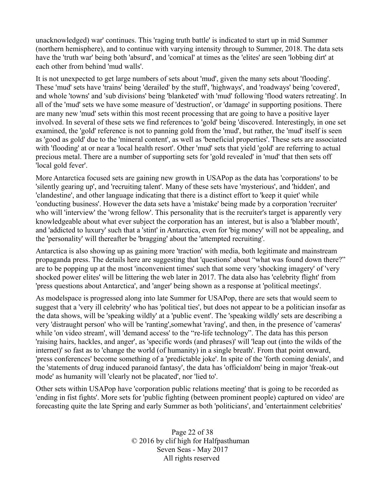unacknowledged) war' continues. This 'raging truth battle' is indicated to start up in mid Summer (northern hemisphere), and to continue with varying intensity through to Summer, 2018. The data sets have the 'truth war' being both 'absurd', and 'comical' at times as the 'elites' are seen 'lobbing dirt' at each other from behind 'mud walls'.

It is not unexpected to get large numbers of sets about 'mud', given the many sets about 'flooding'. These 'mud' sets have 'trains' being 'derailed' by the stuff', 'highways', and 'roadways' being 'covered', and whole 'towns' and 'sub divisions' being 'blanketed' with 'mud' following 'flood waters retreating'. In all of the 'mud' sets we have some measure of 'destruction', or 'damage' in supporting positions. There are many new 'mud' sets within this most recent processing that are going to have a positive layer involved. In several of these sets we find references to 'gold' being 'discovered. Interestingly, in one set examined, the 'gold' reference is not to panning gold from the 'mud', but rather, the 'mud' itself is seen as 'good as gold' due to the 'mineral content', as well as 'beneficial properties'. These sets are associated with 'flooding' at or near a 'local health resort'. Other 'mud' sets that yield 'gold' are referring to actual precious metal. There are a number of supporting sets for 'gold revealed' in 'mud' that then sets off 'local gold fever'.

More Antarctica focused sets are gaining new growth in USAPop as the data has 'corporations' to be 'silently gearing up', and 'recruiting talent'. Many of these sets have 'mysterious', and 'hidden', and 'clandestine', and other language indicating that there is a distinct effort to 'keep it quiet' while 'conducting business'. However the data sets have a 'mistake' being made by a corporation 'recruiter' who will 'interview' the 'wrong fellow'. This personality that is the recruiter's target is apparently very knowledgeable about what ever subject the corporation has an interest, but is also a 'blabber mouth', and 'addicted to luxury' such that a 'stint' in Antarctica, even for 'big money' will not be appealing, and the 'personality' will thereafter be 'bragging' about the 'attempted recruiting'.

Antarctica is also showing up as gaining more 'traction' with media, both legitimate and mainstream propaganda press. The details here are suggesting that 'questions' about "what was found down there?" are to be popping up at the most 'inconvenient times' such that some very 'shocking imagery' of 'very shocked power elites' will be littering the web later in 2017. The data also has 'celebrity flight' from 'press questions about Antarctica', and 'anger' being shown as a response at 'political meetings'.

As modelspace is progressed along into late Summer for USAPop, there are sets that would seem to suggest that a 'very ill celebrity' who has 'political ties', but does not appear to be a politician insofar as the data shows, will be 'speaking wildly' at a 'public event'. The 'speaking wildly' sets are describing a very 'distraught person' who will be 'ranting',somewhat 'raving', and then, in the presence of 'cameras' while 'on video stream', will 'demand access' to the "re-life technology". The data has this person 'raising hairs, hackles, and anger', as 'specific words (and phrases)' will 'leap out (into the wilds of the internet)' so fast as to 'change the world (of humanity) in a single breath'. From that point onward, 'press conferences' become something of a 'predictable joke'. In spite of the 'forth coming denials', and the 'statements of drug induced paranoid fantasy', the data has 'officialdom' being in major 'freak-out mode' as humanity will 'clearly not be placated', nor 'lied to'.

Other sets within USAPop have 'corporation public relations meeting' that is going to be recorded as 'ending in fist fights'. More sets for 'public fighting (between prominent people) captured on video' are forecasting quite the late Spring and early Summer as both 'politicians', and 'entertainment celebrities'

> Page 22 of 38 © 2016 by clif high for Halfpasthuman Seven Seas - May 2017 All rights reserved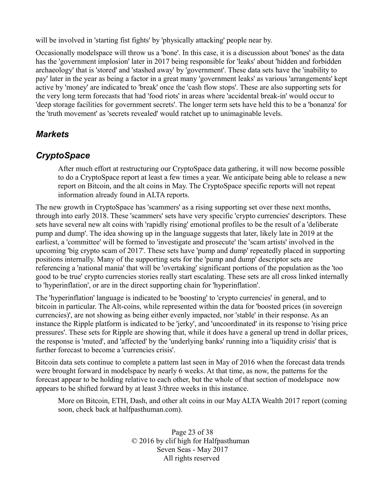will be involved in 'starting fist fights' by 'physically attacking' people near by.

Occasionally modelspace will throw us a 'bone'. In this case, it is a discussion about 'bones' as the data has the 'government implosion' later in 2017 being responsible for 'leaks' about 'hidden and forbidden archaeology' that is 'stored' and 'stashed away' by 'government'. These data sets have the 'inability to pay' later in the year as being a factor in a great many 'government leaks' as various 'arrangements' kept active by 'money' are indicated to 'break' once the 'cash flow stops'. These are also supporting sets for the very long term forecasts that had 'food riots' in areas where 'accidental break-in' would occur to 'deep storage facilities for government secrets'. The longer term sets have held this to be a 'bonanza' for the 'truth movement' as 'secrets revealed' would ratchet up to unimaginable levels.

#### *Markets*

#### *CryptoSpace*

After much effort at restructuring our CryptoSpace data gathering, it will now become possible to do a CryptoSpace report at least a few times a year. We anticipate being able to release a new report on Bitcoin, and the alt coins in May. The CryptoSpace specific reports will not repeat information already found in ALTA reports.

The new growth in CryptoSpace has 'scammers' as a rising supporting set over these next months, through into early 2018. These 'scammers' sets have very specific 'crypto currencies' descriptors. These sets have several new alt coins with 'rapidly rising' emotional profiles to be the result of a 'deliberate pump and dump'. The idea showing up in the language suggests that later, likely late in 2019 at the earliest, a 'committee' will be formed to 'investigate and prosecute' the 'scam artists' involved in the upcoming 'big crypto scam of 2017'. These sets have 'pump and dump' repeatedly placed in supporting positions internally. Many of the supporting sets for the 'pump and dump' descriptor sets are referencing a 'national mania' that will be 'overtaking' significant portions of the population as the 'too good to be true' crypto currencies stories really start escalating. These sets are all cross linked internally to 'hyperinflation', or are in the direct supporting chain for 'hyperinflation'.

The 'hyperinflation' language is indicated to be 'boosting' to 'crypto currencies' in general, and to bitcoin in particular. The Alt-coins, while represented within the data for 'boosted prices (in sovereign currencies)', are not showing as being either evenly impacted, nor 'stable' in their response. As an instance the Ripple platform is indicated to be 'jerky', and 'uncoordinated' in its response to 'rising price pressures'. These sets for Ripple are showing that, while it does have a general up trend in dollar prices, the response is 'muted', and 'affected' by the 'underlying banks' running into a 'liquidity crisis' that is further forecast to become a 'currencies crisis'.

Bitcoin data sets continue to complete a pattern last seen in May of 2016 when the forecast data trends were brought forward in modelspace by nearly 6 weeks. At that time, as now, the patterns for the forecast appear to be holding relative to each other, but the whole of that section of modelspace now appears to be shifted forward by at least 3/three weeks in this instance.

More on Bitcoin, ETH, Dash, and other alt coins in our May ALTA Wealth 2017 report (coming soon, check back at halfpasthuman.com).

> Page 23 of 38 © 2016 by clif high for Halfpasthuman Seven Seas - May 2017 All rights reserved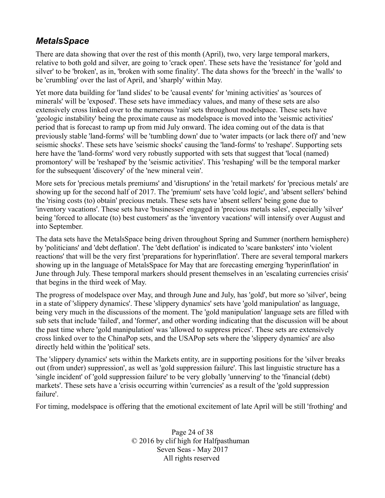#### *MetalsSpace*

There are data showing that over the rest of this month (April), two, very large temporal markers, relative to both gold and silver, are going to 'crack open'. These sets have the 'resistance' for 'gold and silver' to be 'broken', as in, 'broken with some finality'. The data shows for the 'breech' in the 'walls' to be 'crumbling' over the last of April, and 'sharply' within May.

Yet more data building for 'land slides' to be 'causal events' for 'mining activities' as 'sources of minerals' will be 'exposed'. These sets have immediacy values, and many of these sets are also extensively cross linked over to the numerous 'rain' sets throughout modelspace. These sets have 'geologic instability' being the proximate cause as modelspace is moved into the 'seismic activities' period that is forecast to ramp up from mid July onward. The idea coming out of the data is that previously stable 'land-forms' will be 'tumbling down' due to 'water impacts (or lack there of)' and 'new seismic shocks'. These sets have 'seismic shocks' causing the 'land-forms' to 'reshape'. Supporting sets here have the 'land-forms' word very robustly supported with sets that suggest that 'local (named) promontory' will be 'reshaped' by the 'seismic activities'. This 'reshaping' will be the temporal marker for the subsequent 'discovery' of the 'new mineral vein'.

More sets for 'precious metals premiums' and 'disruptions' in the 'retail markets' for 'precious metals' are showing up for the second half of 2017. The 'premium' sets have 'cold logic', and 'absent sellers' behind the 'rising costs (to) obtain' precious metals. These sets have 'absent sellers' being gone due to 'inventory vacations'. These sets have 'businesses' engaged in 'precious metals sales', especially 'silver' being 'forced to allocate (to) best customers' as the 'inventory vacations' will intensify over August and into September.

The data sets have the MetalsSpace being driven throughout Spring and Summer (northern hemisphere) by 'politicians' and 'debt deflation'. The 'debt deflation' is indicated to 'scare banksters' into 'violent reactions' that will be the very first 'preparations for hyperinflation'. There are several temporal markers showing up in the language of MetalsSpace for May that are forecasting emerging 'hyperinflation' in June through July. These temporal markers should present themselves in an 'escalating currencies crisis' that begins in the third week of May.

The progress of modelspace over May, and through June and July, has 'gold', but more so 'silver', being in a state of 'slippery dynamics'. These 'slippery dynamics' sets have 'gold manipulation' as language, being very much in the discussions of the moment. The 'gold manipulation' language sets are filled with sub sets that include 'failed', and 'former', and other wording indicating that the discussion will be about the past time where 'gold manipulation' was 'allowed to suppress prices'. These sets are extensively cross linked over to the ChinaPop sets, and the USAPop sets where the 'slippery dynamics' are also directly held within the 'political' sets.

The 'slippery dynamics' sets within the Markets entity, are in supporting positions for the 'silver breaks out (from under) suppression', as well as 'gold suppression failure'. This last linguistic structure has a 'single incident' of 'gold suppression failure' to be very globally 'unnerving' to the 'financial (debt) markets'. These sets have a 'crisis occurring within 'currencies' as a result of the 'gold suppression failure'.

For timing, modelspace is offering that the emotional excitement of late April will be still 'frothing' and

Page 24 of 38 © 2016 by clif high for Halfpasthuman Seven Seas - May 2017 All rights reserved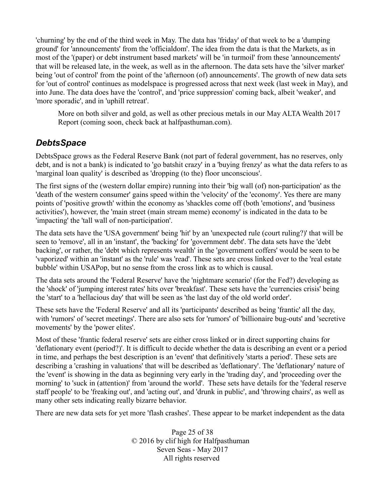'churning' by the end of the third week in May. The data has 'friday' of that week to be a 'dumping ground' for 'announcements' from the 'officialdom'. The idea from the data is that the Markets, as in most of the '(paper) or debt instrument based markets' will be 'in turmoil' from these 'announcements' that will be released late, in the week, as well as in the afternoon. The data sets have the 'silver market' being 'out of control' from the point of the 'afternoon (of) announcements'. The growth of new data sets for 'out of control' continues as modelspace is progressed across that next week (last week in May), and into June. The data does have the 'control', and 'price suppression' coming back, albeit 'weaker', and 'more sporadic', and in 'uphill retreat'.

More on both silver and gold, as well as other precious metals in our May ALTA Wealth 2017 Report (coming soon, check back at halfpasthuman.com).

#### *DebtsSpace*

DebtsSpace grows as the Federal Reserve Bank (not part of federal government, has no reserves, only debt, and is not a bank) is indicated to 'go batshit crazy' in a 'buying frenzy' as what the data refers to as 'marginal loan quality' is described as 'dropping (to the) floor unconscious'.

The first signs of the (western dollar empire) running into their 'big wall (of) non-participation' as the 'death of the western consumer' gains speed within the 'velocity' of the 'economy'. Yes there are many points of 'positive growth' within the economy as 'shackles come off (both 'emotions', and 'business activities'), however, the 'main street (main stream meme) economy' is indicated in the data to be 'impacting' the 'tall wall of non-participation'.

The data sets have the 'USA government' being 'hit' by an 'unexpected rule (court ruling?)' that will be seen to 'remove', all in an 'instant', the 'backing' for 'government debt'. The data sets have the 'debt backing', or rather, the 'debt which represents wealth' in the 'government coffers' would be seen to be 'vaporized' within an 'instant' as the 'rule' was 'read'. These sets are cross linked over to the 'real estate bubble' within USAPop, but no sense from the cross link as to which is causal.

The data sets around the 'Federal Reserve' have the 'nightmare scenario' (for the Fed?) developing as the 'shock' of 'jumping interest rates' hits over 'breakfast'. These sets have the 'currencies crisis' being the 'start' to a 'hellacious day' that will be seen as 'the last day of the old world order'.

These sets have the 'Federal Reserve' and all its 'participants' described as being 'frantic' all the day, with 'rumors' of 'secret meetings'. There are also sets for 'rumors' of 'billionaire bug-outs' and 'secretive movements' by the 'power elites'.

Most of these 'frantic federal reserve' sets are either cross linked or in direct supporting chains for 'deflationary event (period?)'. It is difficult to decide whether the data is describing an event or a period in time, and perhaps the best description is an 'event' that definitively 'starts a period'. These sets are describing a 'crashing in valuations' that will be described as 'deflationary'. The 'deflationary' nature of the 'event' is showing in the data as beginning very early in the 'trading day', and 'proceeding over the morning' to 'suck in (attention)' from 'around the world'. These sets have details for the 'federal reserve staff people' to be 'freaking out', and 'acting out', and 'drunk in public', and 'throwing chairs', as well as many other sets indicating really bizarre behavior.

There are new data sets for yet more 'flash crashes'. These appear to be market independent as the data

Page 25 of 38 © 2016 by clif high for Halfpasthuman Seven Seas - May 2017 All rights reserved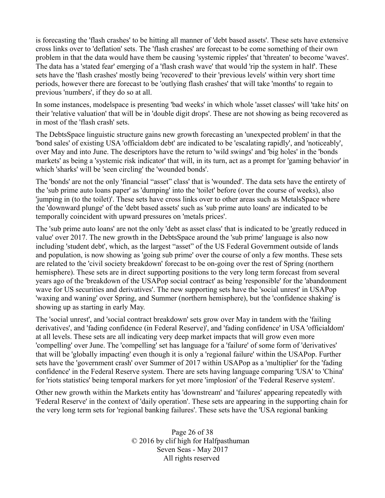is forecasting the 'flash crashes' to be hitting all manner of 'debt based assets'. These sets have extensive cross links over to 'deflation' sets. The 'flash crashes' are forecast to be come something of their own problem in that the data would have them be causing 'systemic ripples' that 'threaten' to become 'waves'. The data has a 'stated fear' emerging of a 'flash crash wave' that would 'rip the system in half'. These sets have the 'flash crashes' mostly being 'recovered' to their 'previous levels' within very short time periods, however there are forecast to be 'outlying flash crashes' that will take 'months' to regain to previous 'numbers', if they do so at all.

In some instances, modelspace is presenting 'bad weeks' in which whole 'asset classes' will 'take hits' on their 'relative valuation' that will be in 'double digit drops'. These are not showing as being recovered as in most of the 'flash crash' sets.

The DebtsSpace linguistic structure gains new growth forecasting an 'unexpected problem' in that the 'bond sales' of existing USA 'officialdom debt' are indicated to be 'escalating rapidly', and 'noticeably', over May and into June. The descriptors have the return to 'wild swings' and 'big holes' in the 'bonds markets' as being a 'systemic risk indicator' that will, in its turn, act as a prompt for 'gaming behavior' in which 'sharks' will be 'seen circling' the 'wounded bonds'.

The 'bonds' are not the only 'financial "asset" class' that is 'wounded'. The data sets have the entirety of the 'sub prime auto loans paper' as 'dumping' into the 'toilet' before (over the course of weeks), also 'jumping in (to the toilet)'. These sets have cross links over to other areas such as MetalsSpace where the 'downward plunge' of the 'debt based assets' such as 'sub prime auto loans' are indicated to be temporally coincident with upward pressures on 'metals prices'.

The 'sub prime auto loans' are not the only 'debt as asset class' that is indicated to be 'greatly reduced in value' over 2017. The new growth in the DebtsSpace around the 'sub prime' language is also now including 'student debt', which, as the largest "asset" of the US Federal Government outside of lands and population, is now showing as 'going sub prime' over the course of only a few months. These sets are related to the 'civil society breakdown' forecast to be on-going over the rest of Spring (northern hemisphere). These sets are in direct supporting positions to the very long term forecast from several years ago of the 'breakdown of the USAPop social contract' as being 'responsible' for the 'abandonment wave for US securities and derivatives'. The new supporting sets have the 'social unrest' in USAPop 'waxing and waning' over Spring, and Summer (northern hemisphere), but the 'confidence shaking' is showing up as starting in early May.

The 'social unrest', and 'social contract breakdown' sets grow over May in tandem with the 'failing derivatives', and 'fading confidence (in Federal Reserve)', and 'fading confidence' in USA 'officialdom' at all levels. These sets are all indicating very deep market impacts that will grow even more 'compelling' over June. The 'compelling' set has language for a 'failure' of some form of 'derivatives' that will be 'globally impacting' even though it is only a 'regional failure' within the USAPop. Further sets have the 'government crash' over Summer of 2017 within USAPop as a 'multiplier' for the 'fading confidence' in the Federal Reserve system. There are sets having language comparing 'USA' to 'China' for 'riots statistics' being temporal markers for yet more 'implosion' of the 'Federal Reserve system'.

Other new growth within the Markets entity has 'downstream' and 'failures' appearing repeatedly with 'Federal Reserve' in the context of 'daily operation'. These sets are appearing in the supporting chain for the very long term sets for 'regional banking failures'. These sets have the 'USA regional banking

> Page 26 of 38 © 2016 by clif high for Halfpasthuman Seven Seas - May 2017 All rights reserved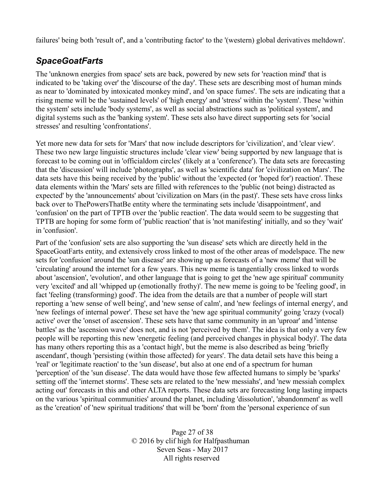failures' being both 'result of', and a 'contributing factor' to the '(western) global derivatives meltdown'.

#### *SpaceGoatFarts*

The 'unknown energies from space' sets are back, powered by new sets for 'reaction mind' that is indicated to be 'taking over' the 'discourse of the day'. These sets are describing most of human minds as near to 'dominated by intoxicated monkey mind', and 'on space fumes'. The sets are indicating that a rising meme will be the 'sustained levels' of 'high energy' and 'stress' within the 'system'. These 'within the system' sets include 'body systems', as well as social abstractions such as 'political system', and digital systems such as the 'banking system'. These sets also have direct supporting sets for 'social stresses' and resulting 'confrontations'.

Yet more new data for sets for 'Mars' that now include descriptors for 'civilization', and 'clear view'. These two new large linguistic structures include 'clear view' being supported by new language that is forecast to be coming out in 'officialdom circles' (likely at a 'conference'). The data sets are forecasting that the 'discussion' will include 'photographs', as well as 'scientific data' for 'civilization on Mars'. The data sets have this being received by the 'public' without the 'expected (or 'hoped for') reaction'. These data elements within the 'Mars' sets are filled with references to the 'public (not being) distracted as expected' by the 'announcements' about 'civilization on Mars (in the past)'. These sets have cross links back over to ThePowersThatBe entity where the terminating sets include 'disappointment', and 'confusion' on the part of TPTB over the 'public reaction'. The data would seem to be suggesting that TPTB are hoping for some form of 'public reaction' that is 'not manifesting' initially, and so they 'wait' in 'confusion'.

Part of the 'confusion' sets are also supporting the 'sun disease' sets which are directly held in the SpaceGoatFarts entity, and extensively cross linked to most of the other areas of modelspace. The new sets for 'confusion' around the 'sun disease' are showing up as forecasts of a 'new meme' that will be 'circulating' around the internet for a few years. This new meme is tangentially cross linked to words about 'ascension', 'evolution', and other language that is going to get the 'new age spiritual' community very 'excited' and all 'whipped up (emotionally frothy)'. The new meme is going to be 'feeling good', in fact 'feeling (transforming) good'. The idea from the details are that a number of people will start reporting a 'new sense of well being', and 'new sense of calm', and 'new feelings of internal energy', and 'new feelings of internal power'. These set have the 'new age spiritual community' going 'crazy (vocal) active' over the 'onset of ascension'. These sets have that same community in an 'uproar' and 'intense battles' as the 'ascension wave' does not, and is not 'perceived by them'. The idea is that only a very few people will be reporting this new 'energetic feeling (and perceived changes in physical body)'. The data has many others reporting this as a 'contact high', but the meme is also described as being 'briefly ascendant', though 'persisting (within those affected) for years'. The data detail sets have this being a 'real' or 'legitimate reaction' to the 'sun disease', but also at one end of a spectrum for human 'perception' of the 'sun disease'. The data would have those few affected humans to simply be 'sparks' setting off the 'internet storms'. These sets are related to the 'new messiahs', and 'new messiah complex acting out' forecasts in this and other ALTA reports. These data sets are forecasting long lasting impacts on the various 'spiritual communities' around the planet, including 'dissolution', 'abandonment' as well as the 'creation' of 'new spiritual traditions' that will be 'born' from the 'personal experience of sun

> Page 27 of 38 © 2016 by clif high for Halfpasthuman Seven Seas - May 2017 All rights reserved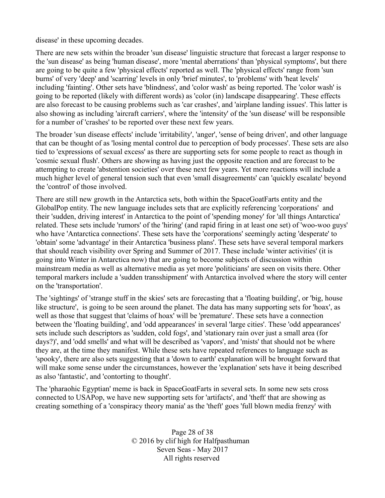disease' in these upcoming decades.

There are new sets within the broader 'sun disease' linguistic structure that forecast a larger response to the 'sun disease' as being 'human disease', more 'mental aberrations' than 'physical symptoms', but there are going to be quite a few 'physical effects' reported as well. The 'physical effects' range from 'sun burns' of very 'deep' and 'scarring' levels in only 'brief minutes', to 'problems' with 'heat levels' including 'fainting'. Other sets have 'blindness', and 'color wash' as being reported. The 'color wash' is going to be reported (likely with different words) as 'color (in) landscape disappearing'. These effects are also forecast to be causing problems such as 'car crashes', and 'airplane landing issues'. This latter is also showing as including 'aircraft carriers', where the 'intensity' of the 'sun disease' will be responsible for a number of 'crashes' to be reported over these next few years.

The broader 'sun disease effects' include 'irritability', 'anger', 'sense of being driven', and other language that can be thought of as 'losing mental control due to perception of body processes'. These sets are also tied to 'expressions of sexual excess' as there are supporting sets for some people to react as though in 'cosmic sexual flush'. Others are showing as having just the opposite reaction and are forecast to be attempting to create 'abstention societies' over these next few years. Yet more reactions will include a much higher level of general tension such that even 'small disagreements' can 'quickly escalate' beyond the 'control' of those involved.

There are still new growth in the Antarctica sets, both within the SpaceGoatFarts entity and the GlobalPop entity. The new language includes sets that are explicitly referencing 'corporations' and their 'sudden, driving interest' in Antarctica to the point of 'spending money' for 'all things Antarctica' related. These sets include 'rumors' of the 'hiring' (and rapid firing in at least one set) of 'woo-woo guys' who have 'Antarctica connections'. These sets have the 'corporations' seemingly acting 'desperate' to 'obtain' some 'advantage' in their Antarctica 'business plans'. These sets have several temporal markers that should reach visibility over Spring and Summer of 2017. These include 'winter activities' (it is going into Winter in Antarctica now) that are going to become subjects of discussion within mainstream media as well as alternative media as yet more 'politicians' are seen on visits there. Other temporal markers include a 'sudden transshipment' with Antarctica involved where the story will center on the 'transportation'.

The 'sightings' of 'strange stuff in the skies' sets are forecasting that a 'floating building', or 'big, house like structure', is going to be seen around the planet. The data has many supporting sets for 'hoax', as well as those that suggest that 'claims of hoax' will be 'premature'. These sets have a connection between the 'floating building', and 'odd appearances' in several 'large cities'. These 'odd appearances' sets include such descriptors as 'sudden, cold fogs', and 'stationary rain over just a small area (for days?)', and 'odd smells' and what will be described as 'vapors', and 'mists' that should not be where they are, at the time they manifest. While these sets have repeated references to language such as 'spooky', there are also sets suggesting that a 'down to earth' explanation will be brought forward that will make some sense under the circumstances, however the 'explanation' sets have it being described as also 'fantastic', and 'contorting to thought'.

The 'pharaohic Egyptian' meme is back in SpaceGoatFarts in several sets. In some new sets cross connected to USAPop, we have new supporting sets for 'artifacts', and 'theft' that are showing as creating something of a 'conspiracy theory mania' as the 'theft' goes 'full blown media frenzy' with

> Page 28 of 38 © 2016 by clif high for Halfpasthuman Seven Seas - May 2017 All rights reserved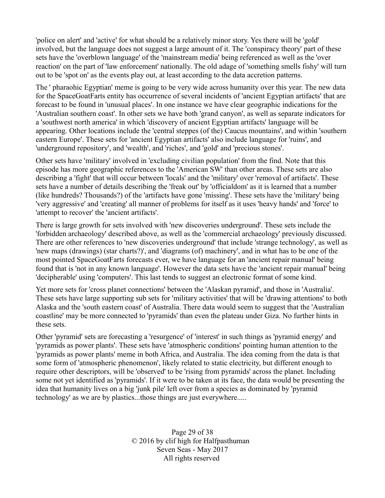'police on alert' and 'active' for what should be a relatively minor story. Yes there will be 'gold' involved, but the language does not suggest a large amount of it. The 'conspiracy theory' part of these sets have the 'overblown language' of the 'mainstream media' being referenced as well as the 'over reaction' on the part of 'law enforcement' nationally. The old adage of 'something smells fishy' will turn out to be 'spot on' as the events play out, at least according to the data accretion patterns.

The ' pharaohic Egyptian' meme is going to be very wide across humanity over this year. The new data for the SpaceGoatFarts entity has occurrence of several incidents of 'ancient Egyptian artifacts' that are forecast to be found in 'unusual places'. In one instance we have clear geographic indications for the 'Australian southern coast'. In other sets we have both 'grand canyon', as well as separate indicators for a 'southwest north america' in which 'discovery of ancient Egyptian artifacts' language will be appearing. Other locations include the 'central steppes (of the) Caucus mountains', and within 'southern eastern Europe'. These sets for 'ancient Egyptian artifacts' also include language for 'ruins', and 'underground repository', and 'wealth', and 'riches', and 'gold' and 'precious stones'.

Other sets have 'military' involved in 'excluding civilian population' from the find. Note that this episode has more geographic references to the 'American SW' than other areas. These sets are also describing a 'fight' that will occur between 'locals' and the 'military' over 'removal of artifacts'. These sets have a number of details describing the 'freak out' by 'officialdom' as it is learned that a number (like hundreds? Thousands?) of the 'artifacts have gone 'missing'. These sets have the 'military' being 'very aggressive' and 'creating' all manner of problems for itself as it uses 'heavy hands' and 'force' to 'attempt to recover' the 'ancient artifacts'.

There is large growth for sets involved with 'new discoveries underground'. These sets include the 'forbidden archaeology' described above, as well as the 'commercial archaeology' previously discussed. There are other references to 'new discoveries underground' that include 'strange technology', as well as 'new maps (drawings) (star charts?)', and 'diagrams (of) machinery', and in what has to be one of the most pointed SpaceGoatFarts forecasts ever, we have language for an 'ancient repair manual' being found that is 'not in any known language'. However the data sets have the 'ancient repair manual' being 'decipherable' using 'computers'. This last tends to suggest an electronic format of some kind.

Yet more sets for 'cross planet connections' between the 'Alaskan pyramid', and those in 'Australia'. These sets have large supporting sub sets for 'military activities' that will be 'drawing attentions' to both Alaska and the 'south eastern coast' of Australia. There data would seem to suggest that the 'Australian coastline' may be more connected to 'pyramids' than even the plateau under Giza. No further hints in these sets.

Other 'pyramid' sets are forecasting a 'resurgence' of 'interest' in such things as 'pyramid energy' and 'pyramids as power plants'. These sets have 'atmospheric conditions' pointing human attention to the 'pyramids as power plants' meme in both Africa, and Australia. The idea coming from the data is that some form of 'atmospheric phenomenon', likely related to static electricity, but different enough to require other descriptors, will be 'observed' to be 'rising from pyramids' across the planet. Including some not yet identified as 'pyramids'. If it were to be taken at its face, the data would be presenting the idea that humanity lives on a big 'junk pile' left over from a species as dominated by 'pyramid technology' as we are by plastics...those things are just everywhere.....

> Page 29 of 38 © 2016 by clif high for Halfpasthuman Seven Seas - May 2017 All rights reserved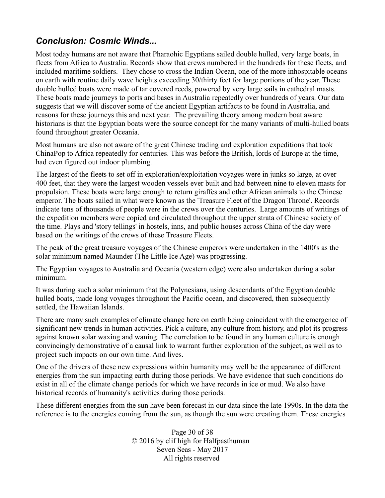#### *Conclusion: Cosmic Winds...*

Most today humans are not aware that Pharaohic Egyptians sailed double hulled, very large boats, in fleets from Africa to Australia. Records show that crews numbered in the hundreds for these fleets, and included maritime soldiers. They chose to cross the Indian Ocean, one of the more inhospitable oceans on earth with routine daily wave heights exceeding 30/thirty feet for large portions of the year. These double hulled boats were made of tar covered reeds, powered by very large sails in cathedral masts. These boats made journeys to ports and bases in Australia repeatedly over hundreds of years. Our data suggests that we will discover some of the ancient Egyptian artifacts to be found in Australia, and reasons for these journeys this and next year. The prevailing theory among modern boat aware historians is that the Egyptian boats were the source concept for the many variants of multi-hulled boats found throughout greater Oceania.

Most humans are also not aware of the great Chinese trading and exploration expeditions that took ChinaPop to Africa repeatedly for centuries. This was before the British, lords of Europe at the time, had even figured out indoor plumbing.

The largest of the fleets to set off in exploration/exploitation voyages were in junks so large, at over 400 feet, that they were the largest wooden vessels ever built and had between nine to eleven masts for propulsion. These boats were large enough to return giraffes and other African animals to the Chinese emperor. The boats sailed in what were known as the 'Treasure Fleet of the Dragon Throne'. Records indicate tens of thousands of people were in the crews over the centuries. Large amounts of writings of the expedition members were copied and circulated throughout the upper strata of Chinese society of the time. Plays and 'story tellings' in hostels, inns, and public houses across China of the day were based on the writings of the crews of these Treasure Fleets.

The peak of the great treasure voyages of the Chinese emperors were undertaken in the 1400's as the solar minimum named Maunder (The Little Ice Age) was progressing.

The Egyptian voyages to Australia and Oceania (western edge) were also undertaken during a solar minimum.

It was during such a solar minimum that the Polynesians, using descendants of the Egyptian double hulled boats, made long voyages throughout the Pacific ocean, and discovered, then subsequently settled, the Hawaiian Islands.

There are many such examples of climate change here on earth being coincident with the emergence of significant new trends in human activities. Pick a culture, any culture from history, and plot its progress against known solar waxing and waning. The correlation to be found in any human culture is enough convincingly demonstrative of a causal link to warrant further exploration of the subject, as well as to project such impacts on our own time. And lives.

One of the drivers of these new expressions within humanity may well be the appearance of different energies from the sun impacting earth during those periods. We have evidence that such conditions do exist in all of the climate change periods for which we have records in ice or mud. We also have historical records of humanity's activities during those periods.

These different energies from the sun have been forecast in our data since the late 1990s. In the data the reference is to the energies coming from the sun, as though the sun were creating them. These energies

> Page 30 of 38 © 2016 by clif high for Halfpasthuman Seven Seas - May 2017 All rights reserved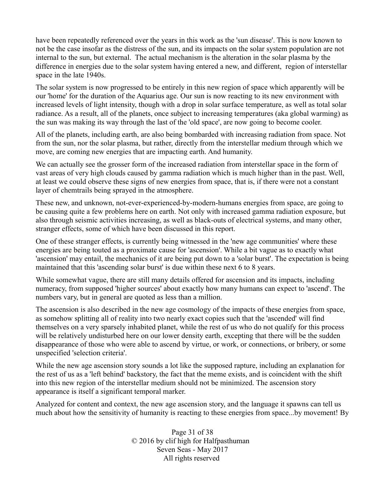have been repeatedly referenced over the years in this work as the 'sun disease'. This is now known to not be the case insofar as the distress of the sun, and its impacts on the solar system population are not internal to the sun, but external. The actual mechanism is the alteration in the solar plasma by the difference in energies due to the solar system having entered a new, and different, region of interstellar space in the late 1940s.

The solar system is now progressed to be entirely in this new region of space which apparently will be our 'home' for the duration of the Aquarius age. Our sun is now reacting to its new environment with increased levels of light intensity, though with a drop in solar surface temperature, as well as total solar radiance. As a result, all of the planets, once subject to increasing temperatures (aka global warming) as the sun was making its way through the last of the 'old space', are now going to become cooler.

All of the planets, including earth, are also being bombarded with increasing radiation from space. Not from the sun, nor the solar plasma, but rather, directly from the interstellar medium through which we move, are coming new energies that are impacting earth. And humanity.

We can actually see the grosser form of the increased radiation from interstellar space in the form of vast areas of very high clouds caused by gamma radiation which is much higher than in the past. Well, at least we could observe these signs of new energies from space, that is, if there were not a constant layer of chemtrails being sprayed in the atmosphere.

These new, and unknown, not-ever-experienced-by-modern-humans energies from space, are going to be causing quite a few problems here on earth. Not only with increased gamma radiation exposure, but also through seismic activities increasing, as well as black-outs of electrical systems, and many other, stranger effects, some of which have been discussed in this report.

One of these stranger effects, is currently being witnessed in the 'new age communities' where these energies are being touted as a proximate cause for 'ascension'. While a bit vague as to exactly what 'ascension' may entail, the mechanics of it are being put down to a 'solar burst'. The expectation is being maintained that this 'ascending solar burst' is due within these next 6 to 8 years.

While somewhat vague, there are still many details offered for ascension and its impacts, including numeracy, from supposed 'higher sources' about exactly how many humans can expect to 'ascend'. The numbers vary, but in general are quoted as less than a million.

The ascension is also described in the new age cosmology of the impacts of these energies from space, as somehow splitting all of reality into two nearly exact copies such that the 'ascended' will find themselves on a very sparsely inhabited planet, while the rest of us who do not qualify for this process will be relatively undisturbed here on our lower density earth, excepting that there will be the sudden disappearance of those who were able to ascend by virtue, or work, or connections, or bribery, or some unspecified 'selection criteria'.

While the new age ascension story sounds a lot like the supposed rapture, including an explanation for the rest of us as a 'left behind' backstory, the fact that the meme exists, and is coincident with the shift into this new region of the interstellar medium should not be minimized. The ascension story appearance is itself a significant temporal marker.

Analyzed for content and context, the new age ascension story, and the language it spawns can tell us much about how the sensitivity of humanity is reacting to these energies from space...by movement! By

> Page 31 of 38 © 2016 by clif high for Halfpasthuman Seven Seas - May 2017 All rights reserved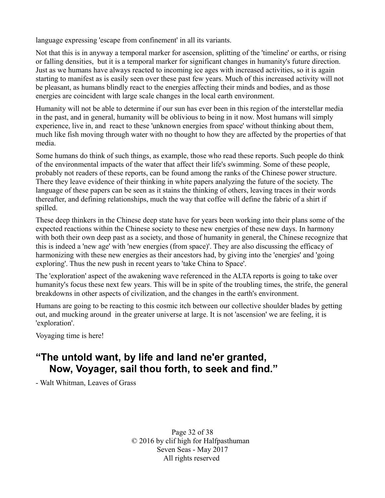language expressing 'escape from confinement' in all its variants.

Not that this is in anyway a temporal marker for ascension, splitting of the 'timeline' or earths, or rising or falling densities, but it is a temporal marker for significant changes in humanity's future direction. Just as we humans have always reacted to incoming ice ages with increased activities, so it is again starting to manifest as is easily seen over these past few years. Much of this increased activity will not be pleasant, as humans blindly react to the energies affecting their minds and bodies, and as those energies are coincident with large scale changes in the local earth environment.

Humanity will not be able to determine if our sun has ever been in this region of the interstellar media in the past, and in general, humanity will be oblivious to being in it now. Most humans will simply experience, live in, and react to these 'unknown energies from space' without thinking about them, much like fish moving through water with no thought to how they are affected by the properties of that media.

Some humans do think of such things, as example, those who read these reports. Such people do think of the environmental impacts of the water that affect their life's swimming. Some of these people, probably not readers of these reports, can be found among the ranks of the Chinese power structure. There they leave evidence of their thinking in white papers analyzing the future of the society. The language of these papers can be seen as it stains the thinking of others, leaving traces in their words thereafter, and defining relationships, much the way that coffee will define the fabric of a shirt if spilled.

These deep thinkers in the Chinese deep state have for years been working into their plans some of the expected reactions within the Chinese society to these new energies of these new days. In harmony with both their own deep past as a society, and those of humanity in general, the Chinese recognize that this is indeed a 'new age' with 'new energies (from space)'. They are also discussing the efficacy of harmonizing with these new energies as their ancestors had, by giving into the 'energies' and 'going exploring'. Thus the new push in recent years to 'take China to Space'.

The 'exploration' aspect of the awakening wave referenced in the ALTA reports is going to take over humanity's focus these next few years. This will be in spite of the troubling times, the strife, the general breakdowns in other aspects of civilization, and the changes in the earth's environment.

Humans are going to be reacting to this cosmic itch between our collective shoulder blades by getting out, and mucking around in the greater universe at large. It is not 'ascension' we are feeling, it is 'exploration'.

Voyaging time is here!

# **"The untold want, by life and land ne'er granted, Now, Voyager, sail thou forth, to seek and find."**

- Walt Whitman, Leaves of Grass

Page 32 of 38 © 2016 by clif high for Halfpasthuman Seven Seas - May 2017 All rights reserved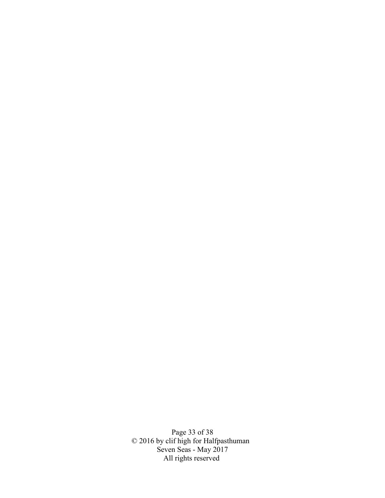Page 33 of 38 © 2016 by clif high for Halfpasthuman Seven Seas - May 2017 All rights reserved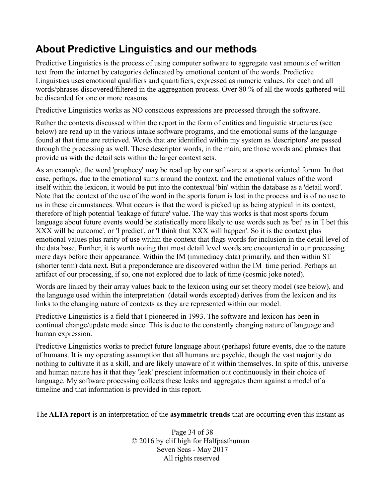# **About Predictive Linguistics and our methods**

Predictive Linguistics is the process of using computer software to aggregate vast amounts of written text from the internet by categories delineated by emotional content of the words. Predictive Linguistics uses emotional qualifiers and quantifiers, expressed as numeric values, for each and all words/phrases discovered/filtered in the aggregation process. Over 80 % of all the words gathered will be discarded for one or more reasons.

Predictive Linguistics works as NO conscious expressions are processed through the software.

Rather the contexts discussed within the report in the form of entities and linguistic structures (see below) are read up in the various intake software programs, and the emotional sums of the language found at that time are retrieved. Words that are identified within my system as 'descriptors' are passed through the processing as well. These descriptor words, in the main, are those words and phrases that provide us with the detail sets within the larger context sets.

As an example, the word 'prophecy' may be read up by our software at a sports oriented forum. In that case, perhaps, due to the emotional sums around the context, and the emotional values of the word itself within the lexicon, it would be put into the contextual 'bin' within the database as a 'detail word'. Note that the context of the use of the word in the sports forum is lost in the process and is of no use to us in these circumstances. What occurs is that the word is picked up as being atypical in its context, therefore of high potential 'leakage of future' value. The way this works is that most sports forum language about future events would be statistically more likely to use words such as 'bet' as in 'I bet this XXX will be outcome', or 'I predict', or 'I think that XXX will happen'. So it is the context plus emotional values plus rarity of use within the context that flags words for inclusion in the detail level of the data base. Further, it is worth noting that most detail level words are encountered in our processing mere days before their appearance. Within the IM (immediacy data) primarily, and then within ST (shorter term) data next. But a preponderance are discovered within the IM time period. Perhaps an artifact of our processing, if so, one not explored due to lack of time (cosmic joke noted).

Words are linked by their array values back to the lexicon using our set theory model (see below), and the language used within the interpretation (detail words excepted) derives from the lexicon and its links to the changing nature of contexts as they are represented within our model.

Predictive Linguistics is a field that I pioneered in 1993. The software and lexicon has been in continual change/update mode since. This is due to the constantly changing nature of language and human expression.

Predictive Linguistics works to predict future language about (perhaps) future events, due to the nature of humans. It is my operating assumption that all humans are psychic, though the vast majority do nothing to cultivate it as a skill, and are likely unaware of it within themselves. In spite of this, universe and human nature has it that they 'leak' prescient information out continuously in their choice of language. My software processing collects these leaks and aggregates them against a model of a timeline and that information is provided in this report.

The **ALTA report** is an interpretation of the **asymmetric trends** that are occurring even this instant as

Page 34 of 38 © 2016 by clif high for Halfpasthuman Seven Seas - May 2017 All rights reserved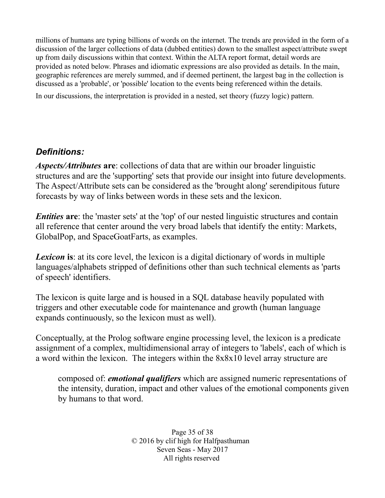millions of humans are typing billions of words on the internet. The trends are provided in the form of a discussion of the larger collections of data (dubbed entities) down to the smallest aspect/attribute swept up from daily discussions within that context. Within the ALTA report format, detail words are provided as noted below. Phrases and idiomatic expressions are also provided as details. In the main, geographic references are merely summed, and if deemed pertinent, the largest bag in the collection is discussed as a 'probable', or 'possible' location to the events being referenced within the details.

In our discussions, the interpretation is provided in a nested, set theory (fuzzy logic) pattern.

#### *Definitions:*

*Aspects/Attributes* **are**: collections of data that are within our broader linguistic structures and are the 'supporting' sets that provide our insight into future developments. The Aspect/Attribute sets can be considered as the 'brought along' serendipitous future forecasts by way of links between words in these sets and the lexicon.

*Entities* are: the 'master sets' at the 'top' of our nested linguistic structures and contain all reference that center around the very broad labels that identify the entity: Markets, GlobalPop, and SpaceGoatFarts, as examples.

**Lexicon** is: at its core level, the lexicon is a digital dictionary of words in multiple languages/alphabets stripped of definitions other than such technical elements as 'parts of speech' identifiers.

The lexicon is quite large and is housed in a SQL database heavily populated with triggers and other executable code for maintenance and growth (human language expands continuously, so the lexicon must as well).

Conceptually, at the Prolog software engine processing level, the lexicon is a predicate assignment of a complex, multidimensional array of integers to 'labels', each of which is a word within the lexicon. The integers within the 8x8x10 level array structure are

composed of: *emotional qualifiers* which are assigned numeric representations of the intensity, duration, impact and other values of the emotional components given by humans to that word.

> Page 35 of 38 © 2016 by clif high for Halfpasthuman Seven Seas - May 2017 All rights reserved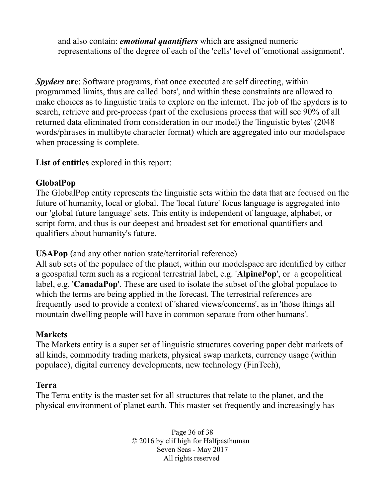and also contain: *emotional quantifiers* which are assigned numeric representations of the degree of each of the 'cells' level of 'emotional assignment'.

*Spyders* **are**: Software programs, that once executed are self directing, within programmed limits, thus are called 'bots', and within these constraints are allowed to make choices as to linguistic trails to explore on the internet. The job of the spyders is to search, retrieve and pre-process (part of the exclusions process that will see 90% of all returned data eliminated from consideration in our model) the 'linguistic bytes' (2048 words/phrases in multibyte character format) which are aggregated into our modelspace when processing is complete.

**List of entities** explored in this report:

#### **GlobalPop**

The GlobalPop entity represents the linguistic sets within the data that are focused on the future of humanity, local or global. The 'local future' focus language is aggregated into our 'global future language' sets. This entity is independent of language, alphabet, or script form, and thus is our deepest and broadest set for emotional quantifiers and qualifiers about humanity's future.

**USAPop** (and any other nation state/territorial reference)

All sub sets of the populace of the planet, within our modelspace are identified by either a geospatial term such as a regional terrestrial label, e.g. '**AlpinePop**', or a geopolitical label, e.g. '**CanadaPop**'. These are used to isolate the subset of the global populace to which the terms are being applied in the forecast. The terrestrial references are frequently used to provide a context of 'shared views/concerns', as in 'those things all mountain dwelling people will have in common separate from other humans'.

#### **Markets**

The Markets entity is a super set of linguistic structures covering paper debt markets of all kinds, commodity trading markets, physical swap markets, currency usage (within populace), digital currency developments, new technology (FinTech),

#### **Terra**

The Terra entity is the master set for all structures that relate to the planet, and the physical environment of planet earth. This master set frequently and increasingly has

> Page 36 of 38 © 2016 by clif high for Halfpasthuman Seven Seas - May 2017 All rights reserved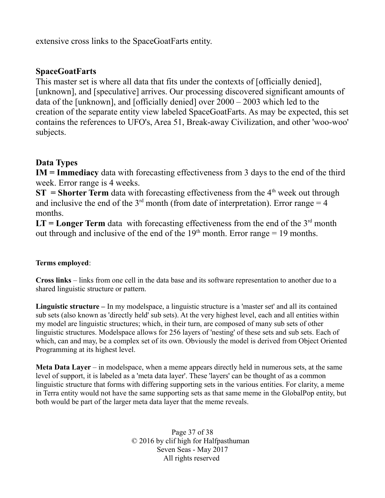extensive cross links to the SpaceGoatFarts entity.

#### **SpaceGoatFarts**

This master set is where all data that fits under the contexts of [officially denied], [unknown], and [speculative] arrives. Our processing discovered significant amounts of data of the [unknown], and [officially denied] over 2000 – 2003 which led to the creation of the separate entity view labeled SpaceGoatFarts. As may be expected, this set contains the references to UFO's, Area 51, Break-away Civilization, and other 'woo-woo' subjects.

#### **Data Types**

**IM = Immediacy** data with forecasting effectiveness from 3 days to the end of the third week. Error range is 4 weeks.

**ST** = **Shorter Term** data with forecasting effectiveness from the  $4<sup>th</sup>$  week out through and inclusive the end of the  $3<sup>rd</sup>$  month (from date of interpretation). Error range = 4 months.

 $LT = Longer Term$  data with forecasting effectiveness from the end of the  $3<sup>rd</sup>$  month out through and inclusive of the end of the  $19<sup>th</sup>$  month. Error range = 19 months.

#### **Terms employed**:

**Cross links** – links from one cell in the data base and its software representation to another due to a shared linguistic structure or pattern.

**Linguistic structure –** In my modelspace, a linguistic structure is a 'master set' and all its contained sub sets (also known as 'directly held' sub sets). At the very highest level, each and all entities within my model are linguistic structures; which, in their turn, are composed of many sub sets of other linguistic structures. Modelspace allows for 256 layers of 'nesting' of these sets and sub sets. Each of which, can and may, be a complex set of its own. Obviously the model is derived from Object Oriented Programming at its highest level.

**Meta Data Layer** – in modelspace, when a meme appears directly held in numerous sets, at the same level of support, it is labeled as a 'meta data layer'. These 'layers' can be thought of as a common linguistic structure that forms with differing supporting sets in the various entities. For clarity, a meme in Terra entity would not have the same supporting sets as that same meme in the GlobalPop entity, but both would be part of the larger meta data layer that the meme reveals.

> Page 37 of 38 © 2016 by clif high for Halfpasthuman Seven Seas - May 2017 All rights reserved